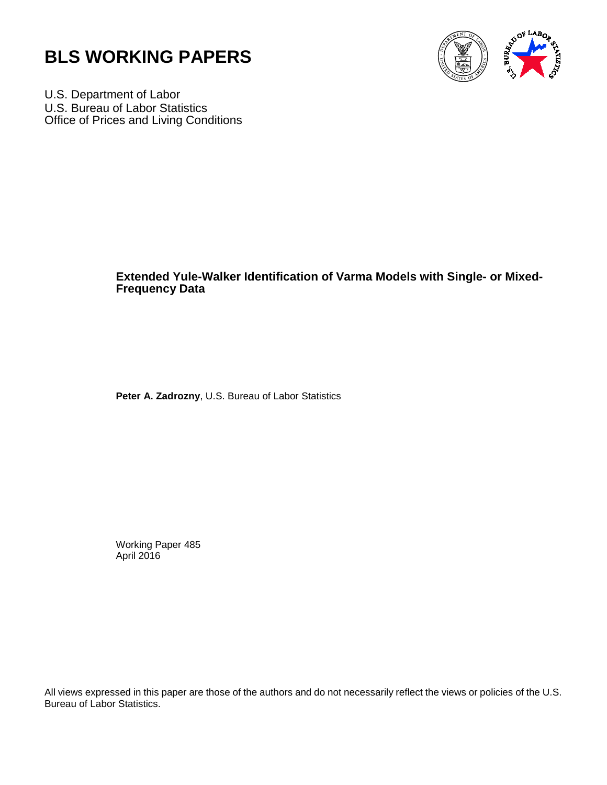



U.S. Department of Labor U.S. Bureau of Labor Statistics Office of Prices and Living Conditions

# **Extended Yule-Walker Identification of Varma Models with Single- or Mixed-Frequency Data**

 **Peter A. Zadrozny**, U.S. Bureau of Labor Statistics

Working Paper 485 April 2016

All views expressed in this paper are those of the authors and do not necessarily reflect the views or policies of the U.S. Bureau of Labor Statistics.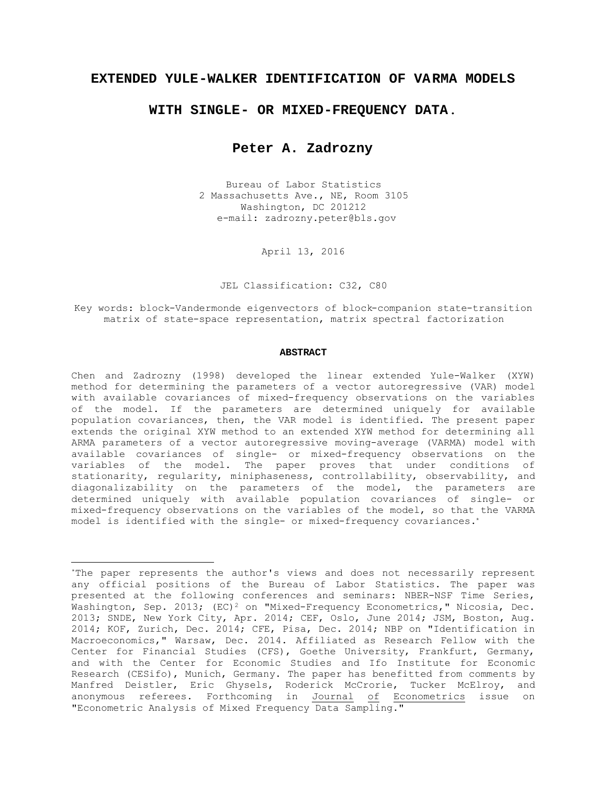# **EXTENDED YULE-WALKER IDENTIFICATION OF VA RMA MODELS**

# **WITH SINGLE- OR MIXED-FREQUENCY DATA**.

# **Peter A. Zadrozny**

Bureau of Labor Statistics 2 Massachusetts Ave., NE, Room 3105 Washington, DC 201212 e-mail: zadrozny.peter@bls.gov

April 13, 2016

JEL Classification: C32, C80

Key words: block-Vandermonde eigenvectors of block-companion state-transition matrix of state-space representation, matrix spectral factorization

#### **ABSTRACT**

Chen and Zadrozny (1998) developed the linear extended Yule-Walker (XYW) method for determining the parameters of a vector autoregressive (VAR) model with available covariances of mixed-frequency observations on the variables of the model. If the parameters are determined uniquely for available population covariances, then, the VAR model is identified. The present paper extends the original XYW method to an extended XYW method for determining all ARMA parameters of a vector autoregressive moving-average (VARMA) model with available covariances of single- or mixed-frequency observations on the variables of the model. The paper proves that under conditions of stationarity, regularity, miniphaseness, controllability, observability, and diagonalizability on the parameters of the model, the parameters are determined uniquely with available population covariances of single- or mixed-frequency observations on the variables of the model, so that the VARMA model is identified with the single- or mixed-frequency covariances.\*

-

<sup>\*</sup>The paper represents the author's views and does not necessarily represent any official positions of the Bureau of Labor Statistics. The paper was presented at the following conferences and seminars: NBER-NSF Time Series, Washington, Sep. 2013; (EC)<sup>2</sup> on "Mixed-Frequency Econometrics," Nicosia, Dec. 2013; SNDE, New York City, Apr. 2014; CEF, Oslo, June 2014; JSM, Boston, Aug. 2014; KOF, Zurich, Dec. 2014; CFE, Pisa, Dec. 2014; NBP on "Identification in Macroeconomics," Warsaw, Dec. 2014. Affiliated as Research Fellow with the Center for Financial Studies (CFS), Goethe University, Frankfurt, Germany, and with the Center for Economic Studies and Ifo Institute for Economic Research (CESifo), Munich, Germany. The paper has benefitted from comments by Manfred Deistler, Eric Ghysels, Roderick McCrorie, Tucker McElroy, and anonymous referees. Forthcoming in <u>Journal</u> <u>of</u> Econometrics issue on "Econometric Analysis of Mixed Frequency Data Sampling."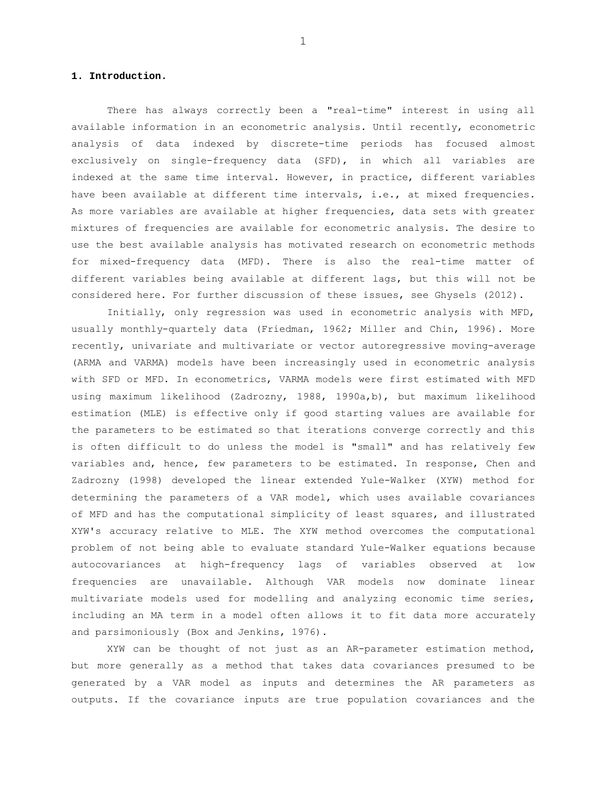# **1. Introduction.**

There has always correctly been a "real-time" interest in using all available information in an econometric analysis. Until recently, econometric analysis of data indexed by discrete-time periods has focused almost exclusively on single-frequency data (SFD), in which all variables are indexed at the same time interval. However, in practice, different variables have been available at different time intervals, i.e., at mixed frequencies. As more variables are available at higher frequencies, data sets with greater mixtures of frequencies are available for econometric analysis. The desire to use the best available analysis has motivated research on econometric methods for mixed-frequency data (MFD). There is also the real-time matter of different variables being available at different lags, but this will not be considered here. For further discussion of these issues, see Ghysels (2012).

Initially, only regression was used in econometric analysis with MFD, usually monthly-quartely data (Friedman, 1962; Miller and Chin, 1996). More recently, univariate and multivariate or vector autoregressive moving-average (ARMA and VARMA) models have been increasingly used in econometric analysis with SFD or MFD. In econometrics, VARMA models were first estimated with MFD using maximum likelihood (Zadrozny, 1988, 1990a,b), but maximum likelihood estimation (MLE) is effective only if good starting values are available for the parameters to be estimated so that iterations converge correctly and this is often difficult to do unless the model is "small" and has relatively few variables and, hence, few parameters to be estimated. In response, Chen and Zadrozny (1998) developed the linear extended Yule-Walker (XYW) method for determining the parameters of a VAR model, which uses available covariances of MFD and has the computational simplicity of least squares, and illustrated XYW's accuracy relative to MLE. The XYW method overcomes the computational problem of not being able to evaluate standard Yule-Walker equations because autocovariances at high-frequency lags of variables observed at low frequencies are unavailable. Although VAR models now dominate linear multivariate models used for modelling and analyzing economic time series, including an MA term in a model often allows it to fit data more accurately and parsimoniously (Box and Jenkins, 1976).

XYW can be thought of not just as an AR-parameter estimation method, but more generally as a method that takes data covariances presumed to be generated by a VAR model as inputs and determines the AR parameters as outputs. If the covariance inputs are true population covariances and the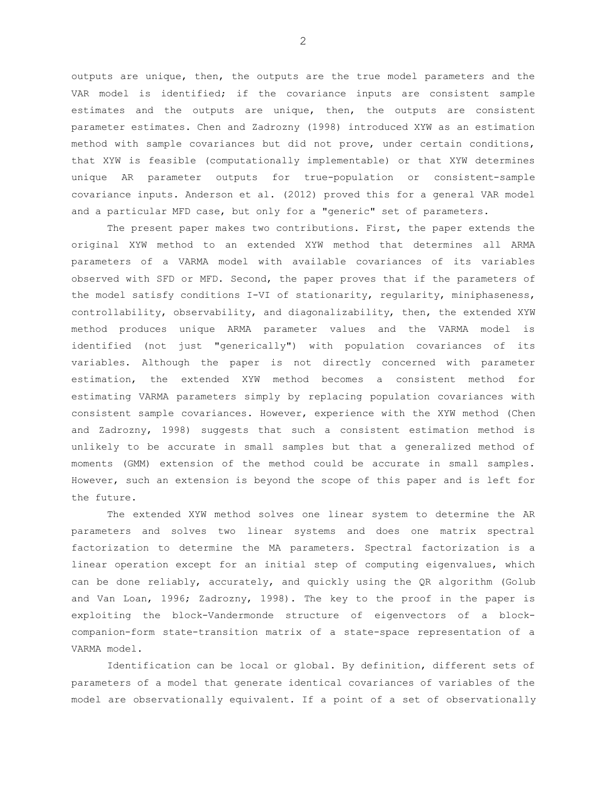outputs are unique, then, the outputs are the true model parameters and the VAR model is identified; if the covariance inputs are consistent sample estimates and the outputs are unique, then, the outputs are consistent parameter estimates. Chen and Zadrozny (1998) introduced XYW as an estimation method with sample covariances but did not prove, under certain conditions, that XYW is feasible (computationally implementable) or that XYW determines unique AR parameter outputs for true-population or consistent-sample covariance inputs. Anderson et al. (2012) proved this for a general VAR model and a particular MFD case, but only for a "generic" set of parameters.

The present paper makes two contributions. First, the paper extends the original XYW method to an extended XYW method that determines all ARMA parameters of a VARMA model with available covariances of its variables observed with SFD or MFD. Second, the paper proves that if the parameters of the model satisfy conditions I-VI of stationarity, regularity, miniphaseness, controllability, observability, and diagonalizability, then, the extended XYW method produces unique ARMA parameter values and the VARMA model is identified (not just "generically") with population covariances of its variables. Although the paper is not directly concerned with parameter estimation, the extended XYW method becomes a consistent method for estimating VARMA parameters simply by replacing population covariances with consistent sample covariances. However, experience with the XYW method (Chen and Zadrozny, 1998) suggests that such a consistent estimation method is unlikely to be accurate in small samples but that a generalized method of moments (GMM) extension of the method could be accurate in small samples. However, such an extension is beyond the scope of this paper and is left for the future.

The extended XYW method solves one linear system to determine the AR parameters and solves two linear systems and does one matrix spectral factorization to determine the MA parameters. Spectral factorization is a linear operation except for an initial step of computing eigenvalues, which can be done reliably, accurately, and quickly using the QR algorithm (Golub and Van Loan, 1996; Zadrozny, 1998). The key to the proof in the paper is exploiting the block-Vandermonde structure of eigenvectors of a blockcompanion-form state-transition matrix of a state-space representation of a VARMA model.

Identification can be local or global. By definition, different sets of parameters of a model that generate identical covariances of variables of the model are observationally equivalent. If a point of a set of observationally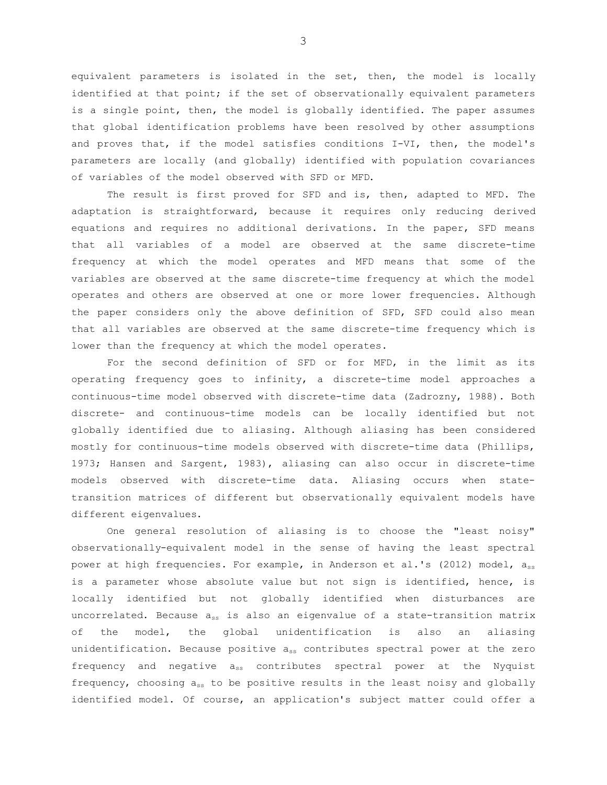equivalent parameters is isolated in the set, then, the model is locally identified at that point; if the set of observationally equivalent parameters is a single point, then, the model is globally identified. The paper assumes that global identification problems have been resolved by other assumptions and proves that, if the model satisfies conditions I-VI, then, the model's parameters are locally (and globally) identified with population covariances of variables of the model observed with SFD or MFD.

The result is first proved for SFD and is, then, adapted to MFD. The adaptation is straightforward, because it requires only reducing derived equations and requires no additional derivations. In the paper, SFD means that all variables of a model are observed at the same discrete-time frequency at which the model operates and MFD means that some of the variables are observed at the same discrete-time frequency at which the model operates and others are observed at one or more lower frequencies. Although the paper considers only the above definition of SFD, SFD could also mean that all variables are observed at the same discrete-time frequency which is lower than the frequency at which the model operates.

For the second definition of SFD or for MFD, in the limit as its operating frequency goes to infinity, a discrete-time model approaches a continuous-time model observed with discrete-time data (Zadrozny, 1988). Both discrete- and continuous-time models can be locally identified but not globally identified due to aliasing. Although aliasing has been considered mostly for continuous-time models observed with discrete-time data (Phillips, 1973; Hansen and Sargent, 1983), aliasing can also occur in discrete-time models observed with discrete-time data. Aliasing occurs when statetransition matrices of different but observationally equivalent models have different eigenvalues.

One general resolution of aliasing is to choose the "least noisy" observationally-equivalent model in the sense of having the least spectral power at high frequencies. For example, in Anderson et al.'s (2012) model, ass is a parameter whose absolute value but not sign is identified, hence, is locally identified but not globally identified when disturbances are uncorrelated. Because ass is also an eigenvalue of a state-transition matrix of the model, the global unidentification is also an aliasing unidentification. Because positive ass contributes spectral power at the zero frequency and negative ass contributes spectral power at the Nyquist frequency, choosing  $a_{ss}$  to be positive results in the least noisy and globally identified model. Of course, an application's subject matter could offer a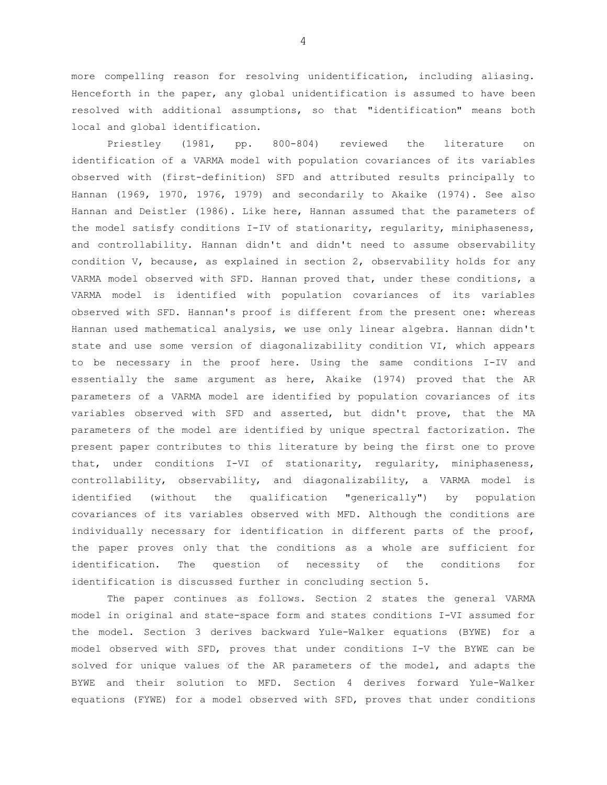more compelling reason for resolving unidentification, including aliasing. Henceforth in the paper, any global unidentification is assumed to have been resolved with additional assumptions, so that "identification" means both local and global identification.

Priestley (1981, pp. 800-804) reviewed the literature on identification of a VARMA model with population covariances of its variables observed with (first-definition) SFD and attributed results principally to Hannan (1969, 1970, 1976, 1979) and secondarily to Akaike (1974). See also Hannan and Deistler (1986). Like here, Hannan assumed that the parameters of the model satisfy conditions I-IV of stationarity, regularity, miniphaseness, and controllability. Hannan didn't and didn't need to assume observability condition V, because, as explained in section 2, observability holds for any VARMA model observed with SFD. Hannan proved that, under these conditions, a VARMA model is identified with population covariances of its variables observed with SFD. Hannan's proof is different from the present one: whereas Hannan used mathematical analysis, we use only linear algebra. Hannan didn't state and use some version of diagonalizability condition VI, which appears to be necessary in the proof here. Using the same conditions I-IV and essentially the same argument as here, Akaike (1974) proved that the AR parameters of a VARMA model are identified by population covariances of its variables observed with SFD and asserted, but didn't prove, that the MA parameters of the model are identified by unique spectral factorization. The present paper contributes to this literature by being the first one to prove that, under conditions I-VI of stationarity, regularity, miniphaseness, controllability, observability, and diagonalizability, a VARMA model is identified (without the qualification "generically") by population covariances of its variables observed with MFD. Although the conditions are individually necessary for identification in different parts of the proof, the paper proves only that the conditions as a whole are sufficient for identification. The question of necessity of the conditions for identification is discussed further in concluding section 5.

The paper continues as follows. Section 2 states the general VARMA model in original and state-space form and states conditions I-VI assumed for the model. Section 3 derives backward Yule-Walker equations (BYWE) for a model observed with SFD, proves that under conditions I-V the BYWE can be solved for unique values of the AR parameters of the model, and adapts the BYWE and their solution to MFD. Section 4 derives forward Yule-Walker equations (FYWE) for a model observed with SFD, proves that under conditions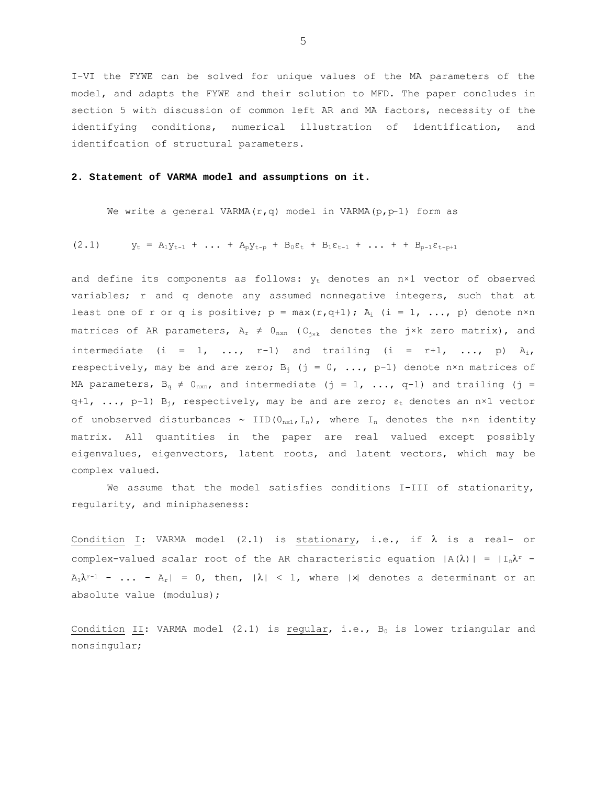I-VI the FYWE can be solved for unique values of the MA parameters of the model, and adapts the FYWE and their solution to MFD. The paper concludes in section 5 with discussion of common left AR and MA factors, necessity of the identifying conditions, numerical illustration of identification, and identifcation of structural parameters.

#### **2. Statement of VARMA model and assumptions on it.**

We write a general VARMA( $r, q$ ) model in VARMA( $p, p-1$ ) form as

$$
(2.1) \t y_t = A_1 y_{t-1} + \ldots + A_p y_{t-p} + B_0 \varepsilon_t + B_1 \varepsilon_{t-1} + \ldots + B_{p-1} \varepsilon_{t-p+1}
$$

and define its components as follows:  $y_t$  denotes an n×1 vector of observed variables; r and q denote any assumed nonnegative integers, such that at least one of r or q is positive;  $p = max(r, q+1)$ ;  $A_i$  (i = 1, ..., p) denote  $n \times n$ matrices of AR parameters,  $A_r \neq 0_{n \times n}$  ( $O_{i \times k}$  denotes the j×k zero matrix), and intermediate (i = 1, ..., r-1) and trailing (i = r+1, ..., p)  $A_i$ , respectively, may be and are zero;  $B_i$  (j = 0, ..., p-1) denote n×n matrices of MA parameters,  $B_{\alpha} \neq 0_{n \times n}$ , and intermediate (j = 1, ..., q-1) and trailing (j = q+1, ..., p-1)  $B_{i}$ , respectively, may be and are zero;  $\varepsilon_t$  denotes an n×1 vector of unobserved disturbances  $\sim$  IID( $0_{n \times 1}$ , I<sub>n</sub>), where I<sub>n</sub> denotes the n×n identity matrix. All quantities in the paper are real valued except possibly eigenvalues, eigenvectors, latent roots, and latent vectors, which may be complex valued.

We assume that the model satisfies conditions I-III of stationarity, regularity, and miniphaseness:

Condition I: VARMA model (2.1) is stationary, i.e., if  $\lambda$  is a real- or complex-valued scalar root of the AR characteristic equation  $|A(\lambda)| = |I_n \lambda^r A_1\lambda^{r-1}$  - ... -  $A_r$ | = 0, then,  $|\lambda|$  < 1, where  $|\lambda|$  denotes a determinant or an absolute value (modulus);

Condition II: VARMA model  $(2.1)$  is regular, i.e.,  $B_0$  is lower triangular and nonsingular;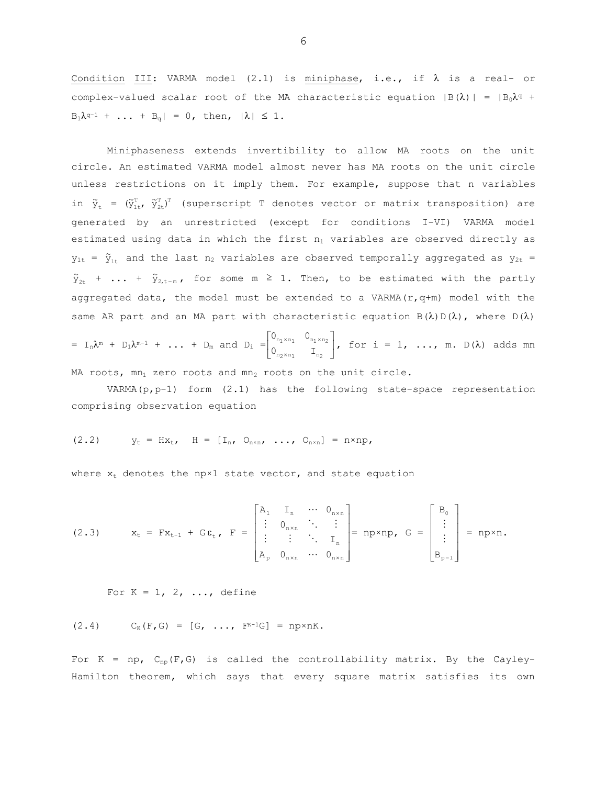Condition III: VARMA model (2.1) is miniphase, i.e., if  $\lambda$  is a real- or complex-valued scalar root of the MA characteristic equation  $|B(\lambda)| = |B_0\lambda^q +$  $B_1\lambda^{q-1} + ... + B_q$  = 0, then,  $|\lambda| \leq 1$ .

Miniphaseness extends invertibility to allow MA roots on the unit circle. An estimated VARMA model almost never has MA roots on the unit circle unless restrictions on it imply them. For example, suppose that n variables in  $\tilde{y}_t = (\tilde{y}_{1:t}^T, \tilde{y}_{2t}^T)^T$  (superscript T denotes vector or matrix transposition) are generated by an unrestricted (except for conditions I-VI) VARMA model estimated using data in which the first n<sub>1</sub> variables are observed directly as  $y_{1t}$  =  $\tilde{y}_{1t}$  and the last n<sub>2</sub> variables are observed temporally aggregated as  $y_{2t}$  =  $\tilde{y}_{2t}$  + ... +  $\tilde{y}_{2,t-m}$ , for some m  $\geq$  1. Then, to be estimated with the partly aggregated data, the model must be extended to a VARMA( $r, q+m$ ) model with the same AR part and an MA part with characteristic equation  $B(\lambda) D(\lambda)$ , where  $D(\lambda)$ 

$$
= I_n \lambda^m + D_1 \lambda^{m-1} + \ldots + D_m \text{ and } D_i = \begin{bmatrix} 0_{n_1 \times n_1} & 0_{n_1 \times n_2} \\ 0_{n_2 \times n_1} & I_{n_2} \end{bmatrix}, \text{ for } i = 1, \ldots, m. D(\lambda) \text{ adds } m
$$

MA roots, mn1 zero roots and mn2 roots on the unit circle.

VARMA $(p, p-1)$  form  $(2.1)$  has the following state-space representation comprising observation equation

$$
(2.2) \t\t yt = Hxt, \t H = [In, On×n, ..., On×n] = n×np,
$$

where  $x_t$  denotes the np×1 state vector, and state equation

(2.3) 
$$
x_t = Fx_{t-1} + G\epsilon_t
$$
,  $F = \begin{bmatrix} A_1 & I_n & \cdots & 0_{n \times n} \\ \vdots & 0_{n \times n} & \ddots & \vdots \\ \vdots & \vdots & \ddots & I_n \\ A_p & 0_{n \times n} & \cdots & 0_{n \times n} \end{bmatrix} = np \times np$ ,  $G = \begin{bmatrix} B_0 \\ \vdots \\ B_{p-1} \end{bmatrix} = np \times n$ .

For  $K = 1, 2, \ldots$ , define

$$
(2.4) \qquad C_K(F,G) = [G, \ldots, F^{K-1}G] = np \times nK.
$$

For  $K = np$ ,  $C_{np}(F, G)$  is called the controllability matrix. By the Cayley-Hamilton theorem, which says that every square matrix satisfies its own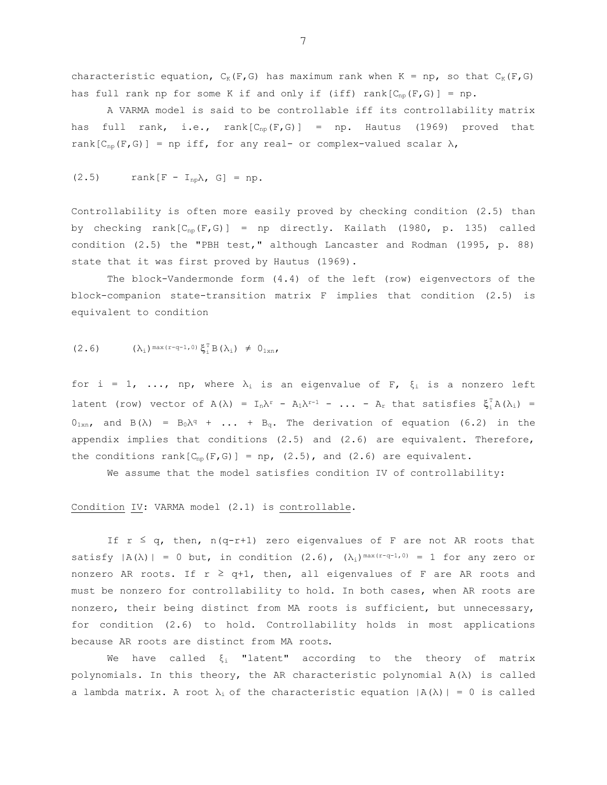characteristic equation,  $C_K(F, G)$  has maximum rank when  $K = np$ , so that  $C_K(F, G)$ has full rank np for some K if and only if (iff) rank[ $C_{np}(F, G)$ ] = np.

 A VARMA model is said to be controllable iff its controllability matrix has full rank, i.e., rank $[C_{np}(F,G)] = np$ . Hautus (1969) proved that rank $[C_{nn}(F,G)]$  = np iff, for any real- or complex-valued scalar  $\lambda$ ,

$$
(2.5) \t rank[F - I_{np}\lambda, G] = np.
$$

Controllability is often more easily proved by checking condition (2.5) than by checking rank $[C_{np}(F,G)] = np$  directly. Kailath (1980, p. 135) called condition (2.5) the "PBH test," although Lancaster and Rodman (1995, p. 88) state that it was first proved by Hautus (1969).

The block-Vandermonde form (4.4) of the left (row) eigenvectors of the block-companion state-transition matrix F implies that condition (2.5) is equivalent to condition

$$
(2.6) \qquad (\lambda_i)^{\max(r-q-1,0)} \xi_i^{\mathrm{T}} B(\lambda_i) \neq 0_{1 \times n},
$$

for i = 1, ..., np, where  $\lambda_i$  is an eigenvalue of F,  $\xi_i$  is a nonzero left latent (row) vector of  $A(\lambda) = I_n \lambda^r - A_1 \lambda^{r-1} - ... - A_r$  that satisfies  $\xi_i^T A(\lambda_i) =$  $0_{1xn}$ , and  $B(\lambda) = B_0\lambda^q + \ldots + B_q$ . The derivation of equation (6.2) in the appendix implies that conditions (2.5) and (2.6) are equivalent. Therefore, the conditions rank  $[C_{np}(F,G)] = np$ ,  $(2.5)$ , and  $(2.6)$  are equivalent.

We assume that the model satisfies condition IV of controllability:

# Condition IV: VARMA model (2.1) is controllable.

If  $r \leq q$ , then,  $n(q-r+1)$  zero eigenvalues of F are not AR roots that satisfy  $|A(\lambda)| = 0$  but, in condition  $(2.6)$ ,  $(\lambda_i)^{\max(r-q-1,0)} = 1$  for any zero or nonzero AR roots. If  $r \ge 0+1$ , then, all eigenvalues of F are AR roots and must be nonzero for controllability to hold. In both cases, when AR roots are nonzero, their being distinct from MA roots is sufficient, but unnecessary, for condition (2.6) to hold. Controllability holds in most applications because AR roots are distinct from MA roots.

We have called  $\xi_i$  "latent" according to the theory of matrix polynomials. In this theory, the AR characteristic polynomial A(λ) is called a lambda matrix. A root  $\lambda_i$  of the characteristic equation  $|A(\lambda)| = 0$  is called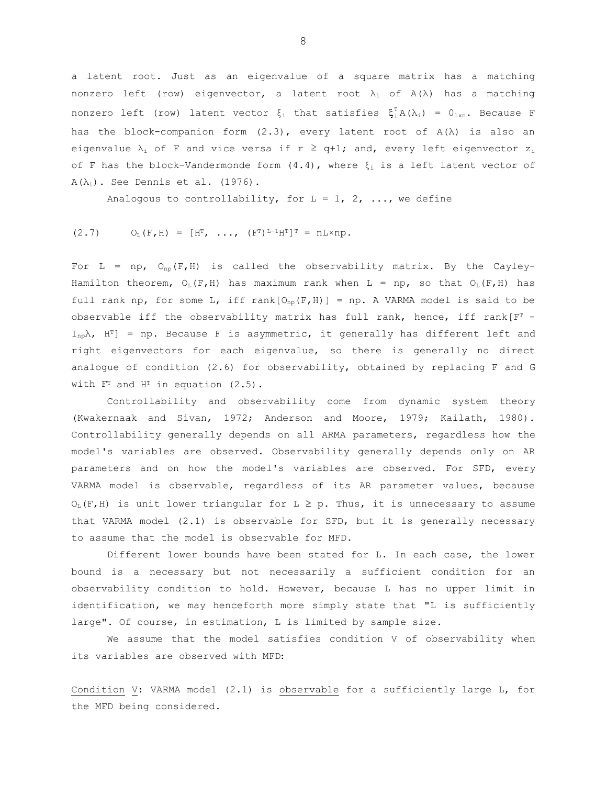a latent root. Just as an eigenvalue of a square matrix has a matching nonzero left (row) eigenvector, a latent root  $\lambda_i$  of  $A(\lambda)$  has a matching nonzero left (row) latent vector  $\xi_i$  that satisfies  $\xi_i^T A(\lambda_i) = 0_{1xn}$ . Because F has the block-companion form  $(2.3)$ , every latent root of  $A(\lambda)$  is also an eigenvalue  $\lambda_i$  of F and vice versa if  $r \geq q+1$ ; and, every left eigenvector  $z_i$ of F has the block-Vandermonde form  $(4.4)$ , where  $\xi_i$  is a left latent vector of  $A(\lambda_i)$ . See Dennis et al. (1976).

Analogous to controllability, for  $L = 1, 2, ...$ , we define

$$
(2.7) \tOL(F,H) = [HT, ..., (FT)L-1HT]T = nL\times np.
$$

For L = np,  $O_{np}(F,H)$  is called the observability matrix. By the Cayley-Hamilton theorem,  $O_L(F,H)$  has maximum rank when  $L = np$ , so that  $O_L(F,H)$  has full rank np, for some L, iff rank  $[O_{np}(F,H)] = np$ . A VARMA model is said to be observable iff the observability matrix has full rank, hence, iff rank[ $F<sup>T</sup>$  - $I_{np}\lambda$ ,  $H^{T}$ ] = np. Because F is asymmetric, it generally has different left and right eigenvectors for each eigenvalue, so there is generally no direct analogue of condition (2.6) for observability, obtained by replacing F and G with  $F<sup>T</sup>$  and  $H<sup>T</sup>$  in equation (2.5).

Controllability and observability come from dynamic system theory (Kwakernaak and Sivan, 1972; Anderson and Moore, 1979; Kailath, 1980). Controllability generally depends on all ARMA parameters, regardless how the model's variables are observed. Observability generally depends only on AR parameters and on how the model's variables are observed. For SFD, every VARMA model is observable, regardless of its AR parameter values, because  $O_L(F,H)$  is unit lower triangular for  $L \ge p$ . Thus, it is unnecessary to assume that VARMA model (2.1) is observable for SFD, but it is generally necessary to assume that the model is observable for MFD.

 Different lower bounds have been stated for L. In each case, the lower bound is a necessary but not necessarily a sufficient condition for an observability condition to hold. However, because L has no upper limit in identification, we may henceforth more simply state that "L is sufficiently large". Of course, in estimation, L is limited by sample size.

 We assume that the model satisfies condition V of observability when its variables are observed with MFD:

Condition V: VARMA model (2.1) is observable for a sufficiently large L, for the MFD being considered.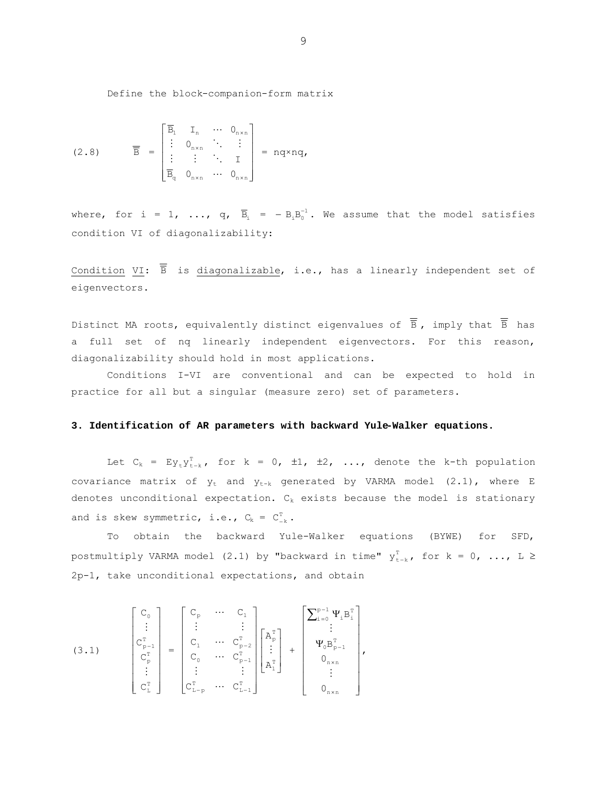Define the block-companion-form matrix

$$
(2.8) \qquad \overline{\overline{B}} = \begin{bmatrix} \overline{B}_{1} & I_{n} & \cdots & 0_{n \times n} \\ \vdots & 0_{n \times n} & \ddots & \vdots \\ \vdots & \vdots & \ddots & I \\ \overline{B}_{q} & 0_{n \times n} & \cdots & 0_{n \times n} \end{bmatrix} = nq \times nq,
$$

where, for i = 1, ...,  $q$ ,  $\overline{B}_i$  =  $-B_iB_0^{-1}$ . We assume that the model satisfies condition VI of diagonalizability:

Condition VI:  $\overline{\overline{B}}$  is diagonalizable, i.e., has a linearly independent set of eigenvectors.

Distinct MA roots, equivalently distinct eigenvalues of  $\overline{\overline{B}}$ , imply that  $\overline{\overline{B}}$  has a full set of nq linearly independent eigenvectors. For this reason, diagonalizability should hold in most applications.

 Conditions I-VI are conventional and can be expected to hold in practice for all but a singular (measure zero) set of parameters.

## **3. Identification of AR parameters with backward Yule-Walker equations.**

Let  $C_k = Ey_t y_{t-k}^T$ , for  $k = 0$ ,  $\pm 1$ ,  $\pm 2$ , ..., denote the k-th population covariance matrix of  $y_t$  and  $y_{t-k}$  generated by VARMA model (2.1), where E denotes unconditional expectation.  $C_k$  exists because the model is stationary and is skew symmetric, i.e.,  $C_k = C_{-k}^T$ .

To obtain the backward Yule-Walker equations (BYWE) for SFD, postmultiply VARMA model (2.1) by "backward in time"  $y_{t-k}^T$ , for  $k = 0$ , ...,  $L \ge$ 2p-1, take unconditional expectations, and obtain

(3.1) 
$$
\begin{bmatrix} C_0 \ \vdots \ C_{p-1}^T \ \vdots \ C_p^T \end{bmatrix} = \begin{bmatrix} C_p & \cdots & C_1 \ \vdots & & \vdots \ C_1 & \cdots & C_{p-2}^T \ C_0 & \cdots & C_{p-1}^T \ \vdots & & \vdots \ C_{L-p}^T & \cdots & C_{p-1}^T \end{bmatrix} \begin{bmatrix} A_p^T \ \vdots \ A_1^T \end{bmatrix} + \begin{bmatrix} \sum_{i=0}^{p-1} \Psi_i B_i^T \ \Psi_0 B_{p-1}^T \ \vdots \ 0_{n \times n} \ \vdots \ \vdots \ 0_{n \times n} \end{bmatrix},
$$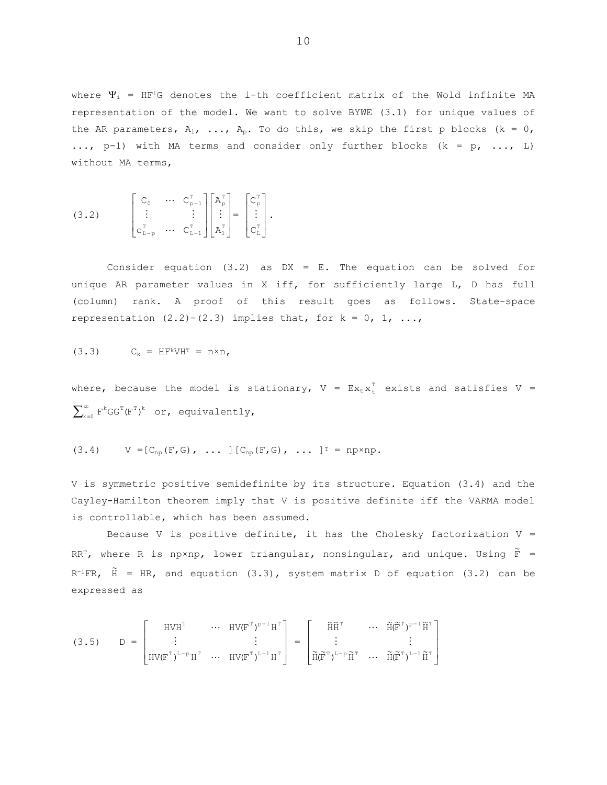where  $\Psi_i$  = HF<sup>i</sup>G denotes the i-th coefficient matrix of the Wold infinite MA representation of the model. We want to solve BYWE (3.1) for unique values of the AR parameters,  $A_1$ , ...,  $A_p$ . To do this, we skip the first p blocks (k = 0, ...,  $p-1$ ) with MA terms and consider only further blocks (k = p, ..., L) without MA terms,

$$
(3.2) \qquad \begin{bmatrix} C_0 & \cdots & C_{p-1}^T \\ \vdots & & \vdots \\ C_{L-p}^T & \cdots & C_{L-1}^T \end{bmatrix} \begin{bmatrix} A_p^T \\ \vdots \\ A_1^T \end{bmatrix} = \begin{bmatrix} C_p^T \\ \vdots \\ C_L^T \end{bmatrix}.
$$

Consider equation (3.2) as  $DX = E$ . The equation can be solved for unique AR parameter values in X iff, for sufficiently large L, D has full (column) rank. A proof of this result goes as follows. State-space representation  $(2.2) - (2.3)$  implies that, for  $k = 0, 1, ...$ 

$$
(3.3) \tC_k = HF^k V H^T = n \times n,
$$

where, because the model is stationary,  $V = EX_{t}X_{t}^{T}$  exists and satisfies V =  $\sum_{k=0}^{\infty} F^{k}GG^{T}(F^{T})^{k}$  or, equivalently,

$$
(3.4) \qquad V = [C_{np}(F, G), \ldots] [C_{np}(F, G), \ldots]^{T} = np \times np.
$$

V is symmetric positive semidefinite by its structure. Equation (3.4) and the Cayley-Hamilton theorem imply that V is positive definite iff the VARMA model is controllable, which has been assumed.

Because V is positive definite, it has the Cholesky factorization  $V =$ RRT, where R is np×np, lower triangular, nonsingular, and unique. Using  $\tilde{F}$  =  $R^{-1}FR$ ,  $\tilde{H}$  = HR, and equation (3.3), system matrix D of equation (3.2) can be expressed as

$$
(3.5) \qquad D = \begin{bmatrix} HVH^{T} & \cdots & HV(F^{T})^{p-1}H^{T} \\ \vdots & & \vdots \\ HV(F^{T})^{L-p}H^{T} & \cdots & HV(F^{T})^{L-1}H^{T} \end{bmatrix} = \begin{bmatrix} \widetilde{H}\widetilde{H}^{T} & \cdots & \widetilde{H}(\widetilde{F}^{T})^{p-1}\widetilde{H}^{T} \\ \vdots & & \vdots \\ \widetilde{H}(\widetilde{F}^{T})^{L-p}\widetilde{H}^{T} & \cdots & \widetilde{H}(\widetilde{F}^{T})^{L-1}\widetilde{H}^{T} \end{bmatrix}
$$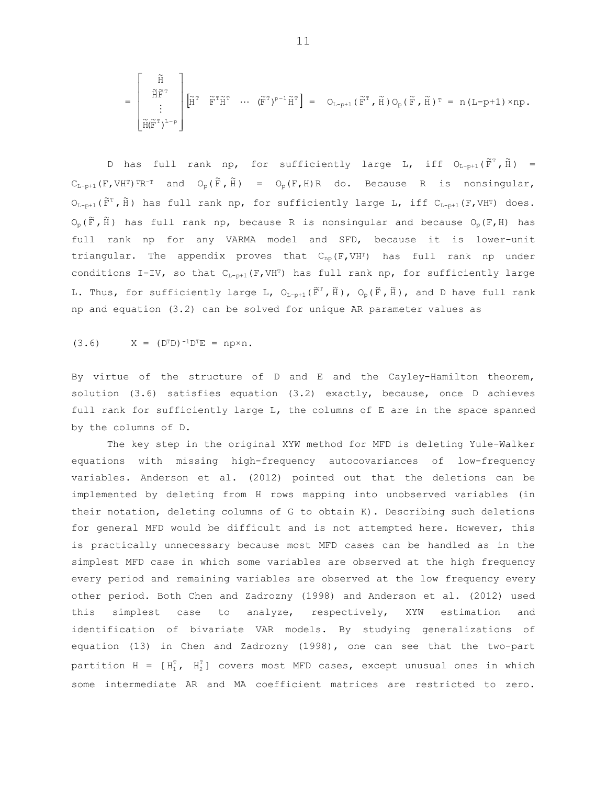$$
=\begin{bmatrix} \widetilde{H} \\ \widetilde{H}\widetilde{F}^{\mathrm{\scriptscriptstyle T}} \\ \vdots \\ \widetilde{H}(\widetilde{F}^{\mathrm{\scriptscriptstyle T}})^{L-p} \end{bmatrix} \begin{bmatrix} \widetilde{H}^{\mathrm{\scriptscriptstyle T}} & \widetilde{F}^{\mathrm{\scriptscriptstyle T}}\widetilde{H}^{\mathrm{\scriptscriptstyle T}} & \cdots & (\widetilde{F}^{\mathrm{\scriptscriptstyle T}})^{p-1}\widetilde{H}^{\mathrm{\scriptscriptstyle T}} \end{bmatrix} = \begin{bmatrix} O_{L-p+1} \left( \widetilde{F}^{\mathrm{\scriptscriptstyle T}} \right), \widetilde{H} \right) O_p \left( \widetilde{F}, \widetilde{H} \right) \mathbb{I} = n \left( L-p+1 \right) \times np \, .
$$

D has full rank np, for sufficiently large L, iff  $O_{L-p+1}(F^T, \tilde{H}) =$  $C_{L-p+1}$  (F,VH<sup>T</sup>)<sup>T</sup>R<sup>-T</sup> and  $O_p(\tilde{F}, \tilde{H})$  =  $O_p(F, H)$ R do. Because R is nonsingular,  $\mathsf{O}_{\mathbb{L}-\mathsf{p}+1}(\,\widetilde{\mathsf{F}}^\mathsf{\scriptscriptstyle T}\,$  ,  $\widetilde{\mathsf{H}}$  ) has full rank np, for sufficiently large L, iff  $\mathsf{C}_{\mathbb{L}-\mathsf{p}+1}(\mathsf{F},\mathsf{V}\mathsf{H}^\mathsf{\scriptscriptstyle T})$  does.  $\mathrm{O}_{\mathrm{p}}\left(\widetilde{\mathbf{F}}\, ,\, \widetilde{\mathbf{H}}\,\right)$  has full rank np, because R is nonsingular and because  $\mathrm{O}_{\mathrm{p}}\left(\mathbf{F}_{\,\boldsymbol{I}}\,\mathbf{H}\right)$  has full rank np for any VARMA model and SFD, because it is lower-unit triangular. The appendix proves that  $C_{np}(F, VHT)$  has full rank np under conditions I-IV, so that  $C_{L-p+1}(F, VH^T)$  has full rank np, for sufficiently large L. Thus, for sufficiently large L,  $\mathsf{O}_{\mathbb{L}\text{-}\mathbb{p}+1}(\,\widetilde{\mathrm{F}}^{\,\mathrm{T}}\, ,\, \widetilde{\mathrm{H}}\,)$ ,  $\mathsf{O}_{\mathbb{p}}(\,\widetilde{\mathrm{F}}\, ,\, \widetilde{\mathrm{H}}\,)$ , and D have full rank np and equation (3.2) can be solved for unique AR parameter values as

$$
(3.6)
$$
  $X = (D^{T}D)^{-1}D^{T}E = np \times n$ .

By virtue of the structure of D and E and the Cayley-Hamilton theorem, solution (3.6) satisfies equation (3.2) exactly, because, once D achieves full rank for sufficiently large L, the columns of E are in the space spanned by the columns of D.

The key step in the original XYW method for MFD is deleting Yule-Walker equations with missing high-frequency autocovariances of low-frequency variables. Anderson et al. (2012) pointed out that the deletions can be implemented by deleting from H rows mapping into unobserved variables (in their notation, deleting columns of G to obtain K). Describing such deletions for general MFD would be difficult and is not attempted here. However, this is practically unnecessary because most MFD cases can be handled as in the simplest MFD case in which some variables are observed at the high frequency every period and remaining variables are observed at the low frequency every other period. Both Chen and Zadrozny (1998) and Anderson et al. (2012) used this simplest case to analyze, respectively, XYW estimation and identification of bivariate VAR models. By studying generalizations of equation (13) in Chen and Zadrozny (1998), one can see that the two-part partition H =  $[H_1^T, H_2^T]$  covers most MFD cases, except unusual ones in which some intermediate AR and MA coefficient matrices are restricted to zero.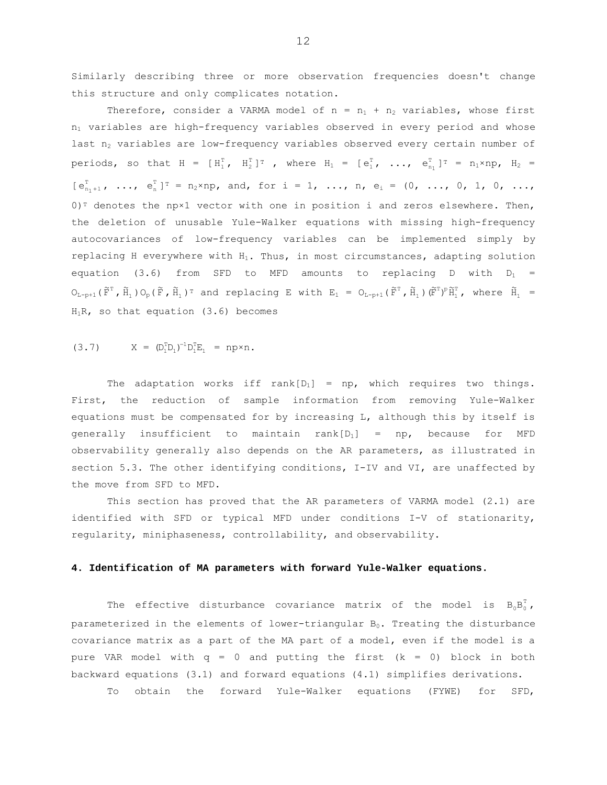Similarly describing three or more observation frequencies doesn't change this structure and only complicates notation.

Therefore, consider a VARMA model of  $n = n_1 + n_2$  variables, whose first  $n_1$  variables are high-frequency variables observed in every period and whose last  $n_2$  variables are low-frequency variables observed every certain number of periods, so that  $H = [H_1^T, H_2^T]^T$ , where  $H_1 = [e_1^T, ..., e_{n_1}^T]^T = n_1 \times np, H_2 =$  $[e_{n_1+1}^T, ..., e_n^T]^T = n_2 \times np$ , and, for  $i = 1, ..., n$ ,  $e_i = (0, ..., 0, 1, 0, ...,$  $0$ <sup>T</sup> denotes the np×1 vector with one in position i and zeros elsewhere. Then, the deletion of unusable Yule-Walker equations with missing high-frequency autocovariances of low-frequency variables can be implemented simply by replacing H everywhere with  $H_1$ . Thus, in most circumstances, adapting solution equation (3.6) from SFD to MFD amounts to replacing D with  $D_1$  =  $O_{L-p+1}(\tilde{F}^T, \tilde{H}_1) O_p(\tilde{F}, \tilde{H}_1)$ <sup>T</sup> and replacing E with  $E_1 = O_{L-p+1}(\tilde{F}^T, \tilde{H}_1) (\tilde{F}^T)^p \tilde{H}_1^T$ , where  $\tilde{H}_1 =$  $H_1R$ , so that equation (3.6) becomes

$$
(3.7) \tX = (D_1^T D_1)^{-1} D_1^T E_1 = np \times n.
$$

The adaptation works iff rank $[D_1]$  = np, which requires two things. First, the reduction of sample information from removing Yule-Walker equations must be compensated for by increasing L, although this by itself is generally insufficient to maintain  $rank[D_1] = np$ , because for MFD observability generally also depends on the AR parameters, as illustrated in section 5.3. The other identifying conditions, I-IV and VI, are unaffected by the move from SFD to MFD.

 This section has proved that the AR parameters of VARMA model (2.1) are identified with SFD or typical MFD under conditions I-V of stationarity, regularity, miniphaseness, controllability, and observability.

#### **4. Identification of MA parameters with forward Yule-Walker equations.**

The effective disturbance covariance matrix of the model is  $B_0B_0^T$ , parameterized in the elements of lower-triangular  $B_0$ . Treating the disturbance covariance matrix as a part of the MA part of a model, even if the model is a pure VAR model with  $q = 0$  and putting the first  $(k = 0)$  block in both backward equations (3.1) and forward equations (4.1) simplifies derivations.

To obtain the forward Yule-Walker equations (FYWE) for SFD,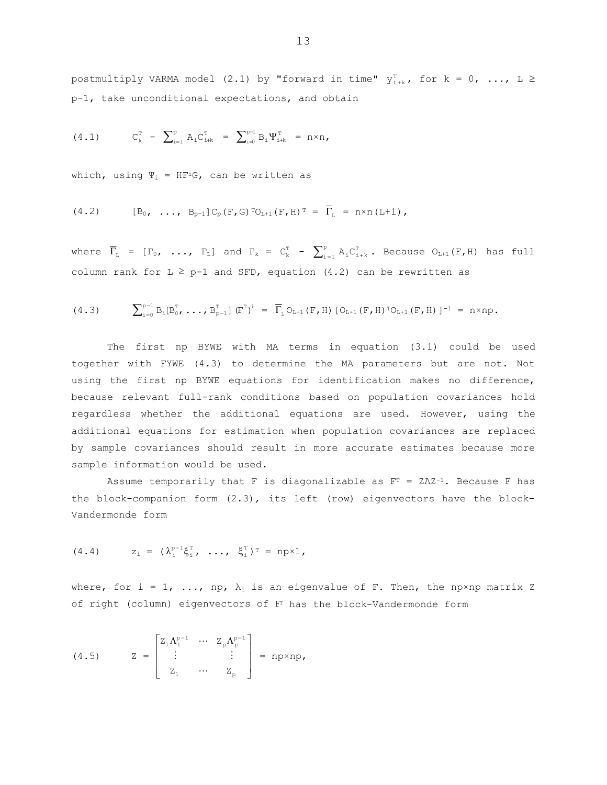postmultiply VARMA model (2.1) by "forward in time"  $y_{t+k}^T$ , for  $k = 0$ , ...,  $L \ge$ p-1, take unconditional expectations, and obtain

(4.1) 
$$
C_k^T - \sum_{i=1}^p A_i C_{i+k}^T = \sum_{i=0}^{p-1} B_i \Psi_{i+k}^T = n \times n
$$
,

which, using  $\Psi_i = HF^iG$ , can be written as

$$
(4.2) \t [B_0, \ldots, B_{p-1}] C_p(F, G) T_{L+1}(F, H) T = \overline{\Gamma}_L = n \times n (L+1),
$$

where  $\overline{\Gamma}_{\text{L}}$  =  $[\Gamma_0, \ldots, \Gamma_{\text{L}}]$  and  $\Gamma_{\text{k}}$  =  $C_{\text{k}}^{\text{T}}$  -  $\sum_{i=1}^{\text{p}} A_i C_{i+k}^{\text{T}}$  $\sum_{i=1}^p A_i C_{i+k}^T$ . Because  $O_{L+1}(F,H)$  has full column rank for  $L \geq p-1$  and SFD, equation (4.2) can be rewritten as

$$
(4.3) \qquad \sum_{i=0}^{p-1} B_i[B_0^T, \ldots, B_{p-1}^T] \, (\mathbb{F}^T)^i = \overline{\Gamma}_L O_{L+1}(\mathbb{F}, H) \, [O_{L+1}(\mathbb{F}, H) \, {}^T O_{L+1}(\mathbb{F}, H) \, ]^{-1} = n \times np.
$$

The first np BYWE with MA terms in equation (3.1) could be used together with FYWE (4.3) to determine the MA parameters but are not. Not using the first np BYWE equations for identification makes no difference, because relevant full-rank conditions based on population covariances hold regardless whether the additional equations are used. However, using the additional equations for estimation when population covariances are replaced by sample covariances should result in more accurate estimates because more sample information would be used.

Assume temporarily that F is diagonalizable as  $F<sup>T</sup> = Z\Lambda Z^{-1}$ . Because F has the block-companion form (2.3), its left (row) eigenvectors have the block-Vandermonde form

$$
(4.4) \t z_i = (\lambda_i^{p-1} \xi_i^T, \ldots, \xi_i^T)^T = np \times 1,
$$

where, for i = 1, ..., np,  $\lambda_i$  is an eigenvalue of F. Then, the np×np matrix Z of right (column) eigenvectors of FT has the block-Vandermonde form

(4.5) 
$$
Z = \begin{bmatrix} Z_1 \Lambda_1^{p-1} & \cdots & Z_p \Lambda_p^{p-1} \\ \vdots & & \vdots \\ Z_1 & \cdots & Z_p \end{bmatrix} = np \times np,
$$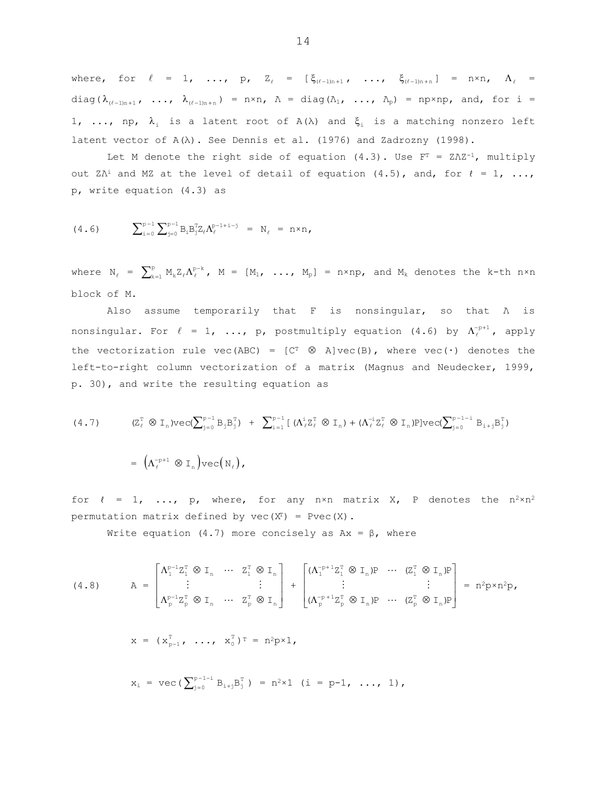where, for  $\ell = 1, \ldots, p, \quad Z_{\ell} = [\xi_{(\ell-1)n+1}, \ldots, \xi_{(\ell-1)n+n}] = n \times n, \quad \Lambda_{\ell} =$ diag( $\lambda_{(\ell-1)n+1}$ , ...,  $\lambda_{(\ell-1)n+n}$ ) = n×n,  $\Lambda$  = diag( $\Lambda_1$ , ...,  $\Lambda_p$ ) = np×np, and, for i = 1, ..., np,  $\lambda_i$  is a latent root of  $A(\lambda)$  and  $\xi_i$  is a matching nonzero left latent vector of  $A(\lambda)$ . See Dennis et al. (1976) and Zadrozny (1998).

Let M denote the right side of equation  $(4.3)$ . Use F<sup>T</sup> = ZΛZ<sup>-1</sup>, multiply out Z $\Lambda$ <sup>i</sup> and MZ at the level of detail of equation (4.5), and, for  $\ell = 1, \ldots$ , p, write equation (4.3) as

$$
(4.6) \qquad \sum_{i=0}^{p-1} \sum_{j=0}^{p-1} B_i B_j^T Z_{\ell} \Lambda_{\ell}^{p-1+i-j} = N_{\ell} = n \times n,
$$

where  $N_{\ell}$  =  $\sum_{k=1}^{p} M_{k} Z_{\ell} \Lambda_{\ell}^{p-k}$ ,  $M = [M_{1}, ..., M_{p}]$  = n×np, and  $M_{k}$  denotes the k-th n×n block of M.

 Also assume temporarily that F is nonsingular, so that Λ is nonsingular. For  $\ell = 1, ..., p$ , postmultiply equation (4.6) by  $\Lambda_{\ell}^{-p+1}$ , apply the vectorization rule vec(ABC) =  $[{\rm C}^{\rm T}\otimes {\rm A}]\,{\rm vec}({\rm B})$ , where vec( $\cdot$ ) denotes the left-to-right column vectorization of a matrix (Magnus and Neudecker, 1999, p. 30), and write the resulting equation as

(4.7) 
$$
(Z_{\ell}^{\mathsf{T}} \otimes I_{\mathsf{n}}) \text{vec}(\sum_{j=0}^{\mathsf{p}-1} B_{j} B_{j}^{\mathsf{T}}) + \sum_{i=1}^{\mathsf{p}-1} \left[ (\Lambda_{\ell}^i Z_{\ell}^{\mathsf{T}} \otimes I_{\mathsf{n}}) + (\Lambda_{\ell}^{-i} Z_{\ell}^{\mathsf{T}} \otimes I_{\mathsf{n}}) \text{P} \right] \text{vec}(\sum_{j=0}^{\mathsf{p}-1-i} B_{i+j} B_{j}^{\mathsf{T}})
$$

$$
= (\Lambda_{\ell}^{-\mathsf{p}+1} \otimes I_{\mathsf{n}}) \text{vec}(\mathsf{N}_{\ell}),
$$

for  $l = 1$ , ..., p, where, for any n×n matrix X, P denotes the  $n^2 \times n^2$ permutation matrix defined by  $vec(X^T) = Pvec(X)$ .

Write equation (4.7) more concisely as  $Ax = \beta$ , where

(4.8) 
$$
A = \begin{bmatrix} \Lambda_1^{p-1} Z_1^T \otimes I_n & \cdots & Z_1^T \otimes I_n \\ \vdots & & \vdots \\ \Lambda_p^{p-1} Z_p^T \otimes I_n & \cdots & Z_p^T \otimes I_n \end{bmatrix} + \begin{bmatrix} (\Lambda_1^{p+1} Z_1^T \otimes I_n) P & \cdots & (Z_1^T \otimes I_n) P \\ \vdots & & \vdots \\ (\Lambda_p^{p+1} Z_p^T \otimes I_n) P & \cdots & (Z_p^T \otimes I_n) P \end{bmatrix} = n^2 p \times n^2 p,
$$
  
\n
$$
x = (x_{p-1}^T, \ldots, x_0^T)^T = n^2 p \times 1,
$$
  
\n
$$
x_i = \text{vec}(\sum_{j=0}^{p-1-i} B_{i+j} B_j^T) = n^2 \times 1 \quad (i = p-1, \ldots, 1),
$$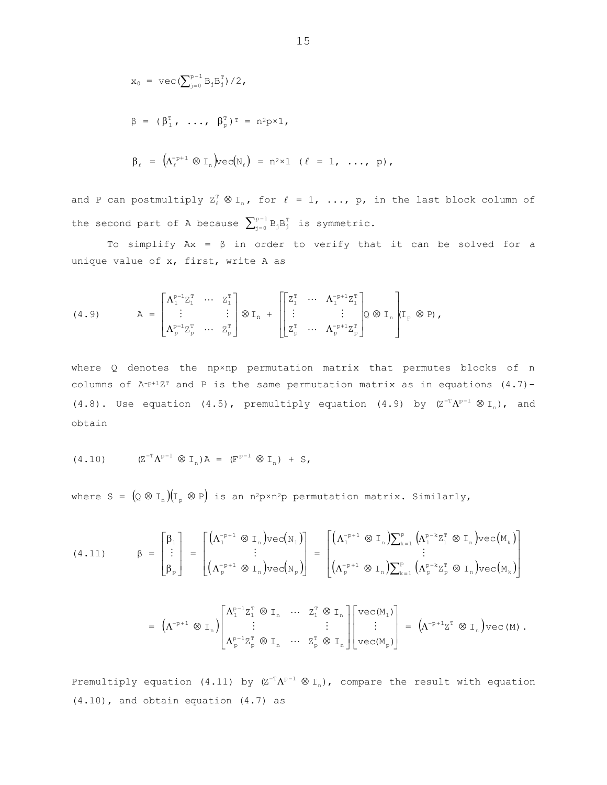$$
x_0 = \text{vec}(\sum_{j=0}^{p-1} B_j B_j^T)/2,
$$
  
\n
$$
\beta = (\beta_1^T, \dots, \beta_p^T)^T = n^2 p \times 1,
$$
  
\n
$$
\beta_{\ell} = (\Lambda_{\ell}^{-p+1} \otimes I_n) \text{vec}(N_{\ell}) = n^2 \times 1 \quad (\ell = 1, \dots, p),
$$

and P can postmultiply  $Z_{\ell}^{T} \otimes I_{n}$ , for  $\ell = 1, ..., p$ , in the last block column of the second part of A because  $\sum_{j=0}^{p-1} B_j B_j^T$  is symmetric.

To simplify  $Ax = \beta$  in order to verify that it can be solved for a unique value of x, first, write A as

(4.9) 
$$
A = \begin{bmatrix} \Lambda_1^{p-1} Z_1^T & \cdots & Z_1^T \\ \vdots & & \vdots \\ \Lambda_p^{p-1} Z_p^T & \cdots & Z_p^T \end{bmatrix} \otimes I_n + \begin{bmatrix} Z_1^T & \cdots & \Lambda_1^{-p+1} Z_1^T \\ \vdots & & \vdots \\ Z_p^T & \cdots & \Lambda_p^{-p+1} Z_p^T \end{bmatrix} Q \otimes I_n \begin{bmatrix} I_p \otimes P \end{bmatrix},
$$

where Q denotes the npxnp permutation matrix that permutes blocks of n columns of  $\Lambda$ -p+1ZT and P is the same permutation matrix as in equations (4.7)- $(4.8)$ . Use equation  $(4.5)$ , premultiply equation  $(4.9)$  by  $(Z^{-T}\Lambda^{p-1}\otimes I_n)$ , and obtain

$$
(4.10) \t\t (Z^{-T} \Lambda^{p-1} \otimes I_n) A = (F^{p-1} \otimes I_n) + S,
$$

where  $S = (Q \otimes I_n)(I_p \otimes P)$  is an n<sup>2</sup>p×n<sup>2</sup>p permutation matrix. Similarly,

$$
(4.11) \qquad \beta = \begin{bmatrix} \beta_1 \\ \vdots \\ \beta_p \end{bmatrix} = \begin{bmatrix} \Lambda_1^{-p+1} \otimes I_n \text{vec}(N_1) \\ \vdots \\ \Lambda_p^{-p+1} \otimes I_n \text{vec}(N_p) \end{bmatrix} = \begin{bmatrix} \Lambda_1^{-p+1} \otimes I_n \text{vec}(N_1) \\ \vdots \\ \Lambda_p^{-p+1} \otimes I_n \text{vec}(N_p) \end{bmatrix} = \begin{bmatrix} \Lambda_1^{-p+1} \otimes I_n \text{vec}(N_1^{p-k}Z_1^T \otimes I_n) \text{vec}(M_k) \\ \vdots \\ \Lambda_p^{-p+1} \otimes I_n \text{vec}(N_p^{p-k}Z_p^T \otimes I_n) \text{vec}(M_k) \end{bmatrix}
$$

$$
= \left(\Lambda^{-p+1} \otimes I_n\right) \begin{bmatrix} \Lambda_1^{p-1} Z_1^T \otimes I_n & \cdots & Z_1^T \otimes I_n \\ \vdots & & \vdots \\ \Lambda_p^{p-1} Z_p^T \otimes I_n & \cdots & Z_p^T \otimes I_n \end{bmatrix} \begin{bmatrix} vec(M_1) \\ \vdots \\ vec(M_p) \end{bmatrix} = \left(\Lambda^{-p+1} Z^T \otimes I_n\right) vec(M) .
$$

Premultiply equation (4.11) by  $(Z^{-T}\Lambda^{p-1}\otimes I_n)$ , compare the result with equation  $(4.10)$ , and obtain equation  $(4.7)$  as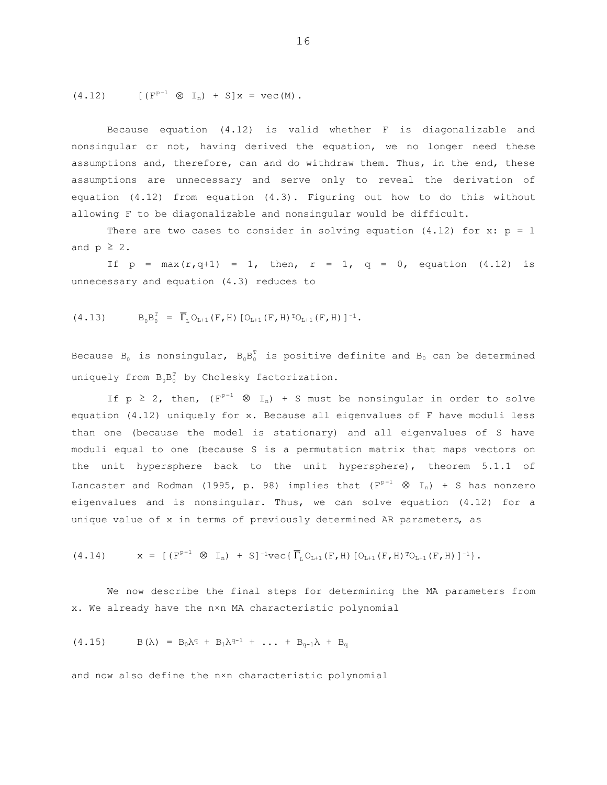(4.12) 
$$
[(F^{p-1} \otimes I_n) + S]x = vec(M).
$$

Because equation (4.12) is valid whether F is diagonalizable and nonsingular or not, having derived the equation, we no longer need these assumptions and, therefore, can and do withdraw them. Thus, in the end, these assumptions are unnecessary and serve only to reveal the derivation of equation (4.12) from equation (4.3). Figuring out how to do this without allowing F to be diagonalizable and nonsingular would be difficult.

There are two cases to consider in solving equation  $(4.12)$  for x:  $p = 1$ and  $p \geq 2$ .

If  $p = max(r, q+1) = 1$ , then,  $r = 1$ ,  $q = 0$ , equation (4.12) is unnecessary and equation (4.3) reduces to

$$
(4.13) \tB_0B_0^T = \overline{\Gamma}_L O_{L+1}(F,H) [O_{L+1}(F,H)^T O_{L+1}(F,H)]^{-1}.
$$

Because B<sub>0</sub> is nonsingular,  $B_0B_0^T$  is positive definite and B<sub>0</sub> can be determined uniquely from  $B_0B_0^T$  by Cholesky factorization.

If  $p \ge 2$ , then,  $(F^{p-1} \otimes I_n) + S$  must be nonsingular in order to solve equation (4.12) uniquely for x. Because all eigenvalues of F have moduli less than one (because the model is stationary) and all eigenvalues of S have moduli equal to one (because S is a permutation matrix that maps vectors on the unit hypersphere back to the unit hypersphere), theorem 5.1.1 of Lancaster and Rodman (1995, p. 98) implies that  $(F^{p-1} \otimes I_n)$  + S has nonzero eigenvalues and is nonsingular. Thus, we can solve equation (4.12) for a unique value of x in terms of previously determined AR parameters, as

$$
(4.14) \t x = [ (Fp-1 \otimes In) + S]-1 \text{vec} \{ \overline{\Gamma}_{L} O_{L+1}(F, H) [O_{L+1}(F, H) \Gamma O_{L+1}(F, H) ]^{-1} \}.
$$

 We now describe the final steps for determining the MA parameters from x. We already have the n×n MA characteristic polynomial

$$
(4.15) \t\t B(\lambda) = B_0 \lambda^q + B_1 \lambda^{q-1} + \ldots + B_{q-1} \lambda + B_q
$$

and now also define the n×n characteristic polynomial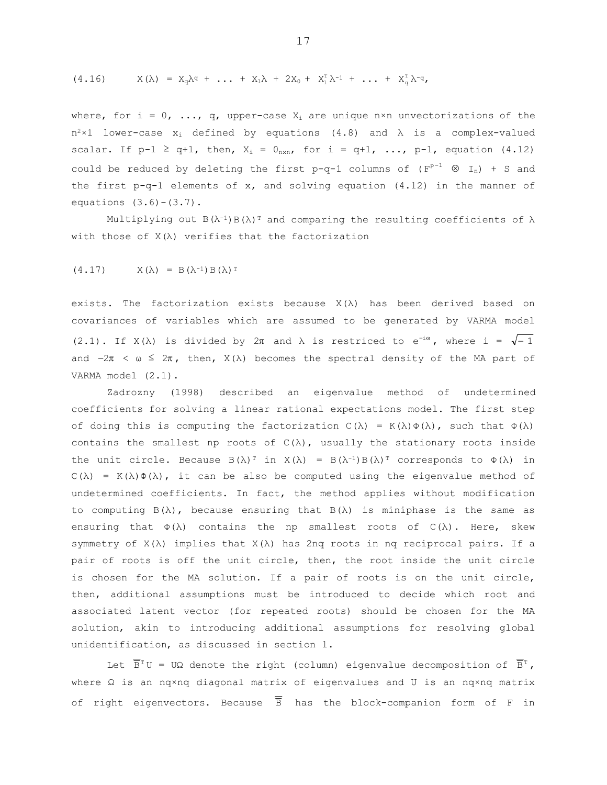$$
(4.16) \tX(\lambda) = X_q \lambda^q + \ldots + X_1 \lambda + 2X_0 + X_1^T \lambda^{-1} + \ldots + X_q^T \lambda^{-q},
$$

where, for i =  $0$ , ..., q, upper-case  $X_i$  are unique n×n unvectorizations of the  $n^2 \times 1$  lower-case  $x_i$  defined by equations (4.8) and  $\lambda$  is a complex-valued scalar. If  $p-1 \ge q+1$ , then,  $X_i = 0_{n \times n}$ , for  $i = q+1$ , ...,  $p-1$ , equation (4.12) could be reduced by deleting the first p-q-1 columns of  $(F^{p-1} \otimes I_n) + S$  and the first p-q-1 elements of x, and solving equation (4.12) in the manner of equations  $(3.6)-(3.7)$ .

Multiplying out  $B(\lambda^{-1})B(\lambda)^T$  and comparing the resulting coefficients of  $\lambda$ with those of  $X(\lambda)$  verifies that the factorization

$$
(4.17) \tX(\lambda) = B(\lambda^{-1}) B(\lambda)^T
$$

exists. The factorization exists because  $X(\lambda)$  has been derived based on covariances of variables which are assumed to be generated by VARMA model (2.1). If  $X(\lambda)$  is divided by  $2\pi$  and  $\lambda$  is restriced to  $e^{-i\omega}$ , where  $i = \sqrt{-1}$ and  $-2\pi < \omega \leq 2\pi$ , then,  $X(\lambda)$  becomes the spectral density of the MA part of VARMA model (2.1).

 Zadrozny (1998) described an eigenvalue method of undetermined coefficients for solving a linear rational expectations model. The first step of doing this is computing the factorization  $C(\lambda) = K(\lambda)\Phi(\lambda)$ , such that  $\Phi(\lambda)$ contains the smallest np roots of  $C(\lambda)$ , usually the stationary roots inside the unit circle. Because  $B(\lambda)^T$  in  $X(\lambda) = B(\lambda^{-1})B(\lambda)^T$  corresponds to  $\Phi(\lambda)$  in  $C(\lambda) = K(\lambda) \Phi(\lambda)$ , it can be also be computed using the eigenvalue method of undetermined coefficients. In fact, the method applies without modification to computing  $B(\lambda)$ , because ensuring that  $B(\lambda)$  is miniphase is the same as ensuring that  $\Phi(\lambda)$  contains the np smallest roots of  $C(\lambda)$ . Here, skew symmetry of X(λ) implies that X(λ) has 2nq roots in nq reciprocal pairs. If a pair of roots is off the unit circle, then, the root inside the unit circle is chosen for the MA solution. If a pair of roots is on the unit circle, then, additional assumptions must be introduced to decide which root and associated latent vector (for repeated roots) should be chosen for the MA solution, akin to introducing additional assumptions for resolving global unidentification, as discussed in section 1.

Let  $\overline{\overline{B}}^T U = U\Omega$  denote the right (column) eigenvalue decomposition of  $\overline{B}^T$ , where Ω is an nq×nq diagonal matrix of eigenvalues and U is an nq×nq matrix of right eigenvectors. Because  $\overline{B}$  has the block-companion form of F in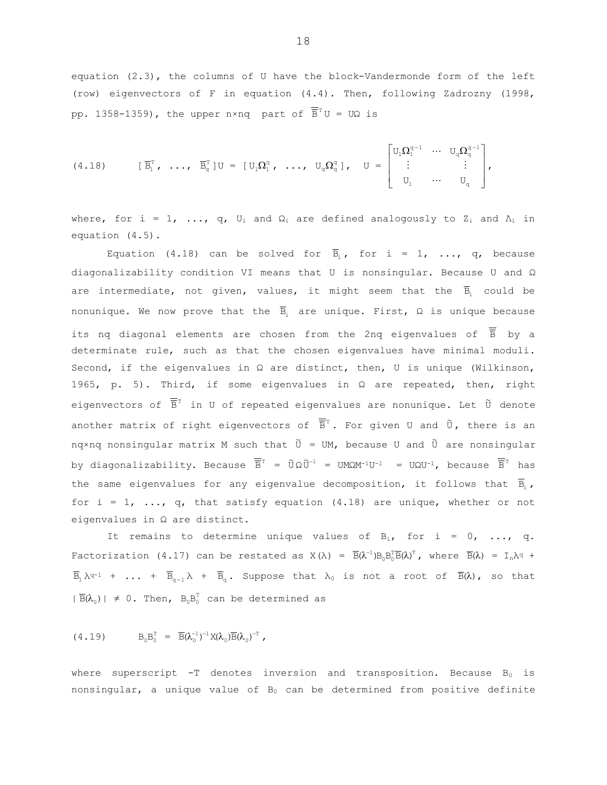equation (2.3), the columns of U have the block-Vandermonde form of the left (row) eigenvectors of F in equation (4.4). Then, following Zadrozny (1998, pp. 1358-1359), the upper n×ng part of  $\overline{\overline{B}}^{\text{T}}U = U\Omega$  is

$$
(4.18) \qquad [\overline{B}_{1}^{T}, \ldots, \overline{B}_{q}^{T}]U = [U_{1}\Omega_{1}^{q}, \ldots, U_{q}\Omega_{q}^{q}], \qquad U = \begin{bmatrix} U_{1}\Omega_{1}^{q-1} & \cdots & U_{q}\Omega_{q}^{q-1} \\ \vdots & & \vdots \\ U_{1} & \cdots & U_{q} \end{bmatrix},
$$

where, for i = 1, ..., q,  $U_i$  and  $\Omega_i$  are defined analogously to  $Z_i$  and  $\Lambda_i$  in equation  $(4.5)$ .

Equation (4.18) can be solved for  $\overline{B}_i$ , for i = 1, ..., q, because diagonalizability condition VI means that U is nonsingular. Because U and  $\Omega$ are intermediate, not given, values, it might seem that the  $\overline{B}_i$  could be nonunique. We now prove that the  $\overline{B}_i$  are unique. First,  $\Omega$  is unique because its nq diagonal elements are chosen from the 2nq eigenvalues of  $\overline{B}$  by a determinate rule, such as that the chosen eigenvalues have minimal moduli. Second, if the eigenvalues in  $\Omega$  are distinct, then, U is unique (Wilkinson, 1965, p. 5). Third, if some eigenvalues in  $\Omega$  are repeated, then, right eigenvectors of  $\overline{\overline{B}}^T$  in U of repeated eigenvalues are nonunique. Let  $\tilde{U}$  denote another matrix of right eigenvectors of  $\overline{\overline{B}}^T$ . For given U and  $\tilde{U}$ , there is an nqxnq nonsingular matrix M such that  $\tilde{U} = UM$ , because U and  $\tilde{U}$  are nonsingular by diagonalizability. Because  $\overline{\overline{B}}^{T} = \tilde{U}\Omega\tilde{U}^{-1} = UM\Omega M^{-1}U^{-1} = U\Omega U^{-1}$ , because  $\overline{\overline{B}}^{T}$  has the same eigenvalues for any eigenvalue decomposition, it follows that  $\overline{B}_i$ , for  $i = 1, \ldots, q$ , that satisfy equation (4.18) are unique, whether or not eigenvalues in  $\Omega$  are distinct.

It remains to determine unique values of  $B_i$ , for i = 0, ..., q. Factorization (4.17) can be restated as  $X(\lambda) = \overline{B}(\lambda^{-1})B_0B_0^T\overline{B}(\lambda)^T$ , where  $\overline{B}(\lambda) = I_n\lambda^q$  +  $\overline{B}_1 \lambda^{q-1}$  + ... +  $\overline{B}_{q-1} \lambda$  +  $\overline{B}_q$ . Suppose that  $\lambda_0$  is not a root of  $\overline{B}(\lambda)$ , so that  $|\overline{B}(\lambda_0)| \neq 0$ . Then,  $B_0B_0^T$  can be determined as

$$
(4.19) \tB_0B_0^T = \overline{B}(\lambda_0^{-1})^{-1}X(\lambda_0)\overline{B}(\lambda_0)^{-T},
$$

where superscript  $-T$  denotes inversion and transposition. Because  $B_0$  is nonsingular, a unique value of B<sub>0</sub> can be determined from positive definite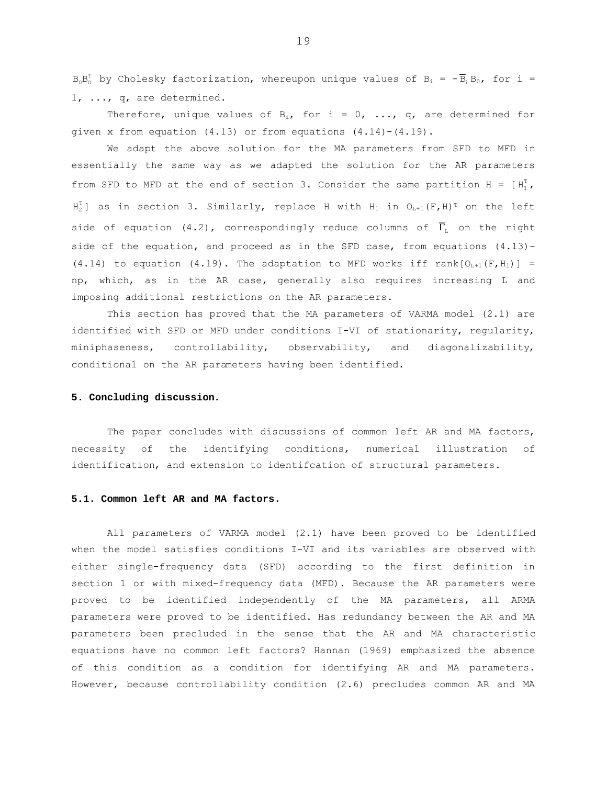$B_0B_0^T$  by Cholesky factorization, whereupon unique values of  $B_i = -\overline{B}_i B_0$ , for i = 1, ..., q, are determined.

Therefore, unique values of  $B_i$ , for i = 0, ..., q, are determined for given x from equation (4.13) or from equations (4.14)-(4.19).

We adapt the above solution for the MA parameters from SFD to MFD in essentially the same way as we adapted the solution for the AR parameters from SFD to MFD at the end of section 3. Consider the same partition H =  $[H_1^T]$ ,  $H_2^T$ ] as in section 3. Similarly, replace H with  $H_1$  in  $O_{L+1}(F,H)^T$  on the left side of equation (4.2), correspondingly reduce columns of  $\overline{\Gamma}_{\!\scriptscriptstyle{\rm E}}$  on the right side of the equation, and proceed as in the SFD case, from equations (4.13)- (4.14) to equation (4.19). The adaptation to MFD works iff rank $[O_{L+1}(F,H_1)] =$ np, which, as in the AR case, generally also requires increasing L and imposing additional restrictions on the AR parameters.

 This section has proved that the MA parameters of VARMA model (2.1) are identified with SFD or MFD under conditions I-VI of stationarity, regularity, miniphaseness, controllability, observability, and diagonalizability, conditional on the AR parameters having been identified.

### **5. Concluding discussion.**

 The paper concludes with discussions of common left AR and MA factors, necessity of the identifying conditions, numerical illustration of identification, and extension to identifcation of structural parameters.

## **5.1. Common left AR and MA factors.**

All parameters of VARMA model (2.1) have been proved to be identified when the model satisfies conditions I-VI and its variables are observed with either single-frequency data (SFD) according to the first definition in section 1 or with mixed-frequency data (MFD). Because the AR parameters were proved to be identified independently of the MA parameters, all ARMA parameters were proved to be identified. Has redundancy between the AR and MA parameters been precluded in the sense that the AR and MA characteristic equations have no common left factors? Hannan (1969) emphasized the absence of this condition as a condition for identifying AR and MA parameters. However, because controllability condition (2.6) precludes common AR and MA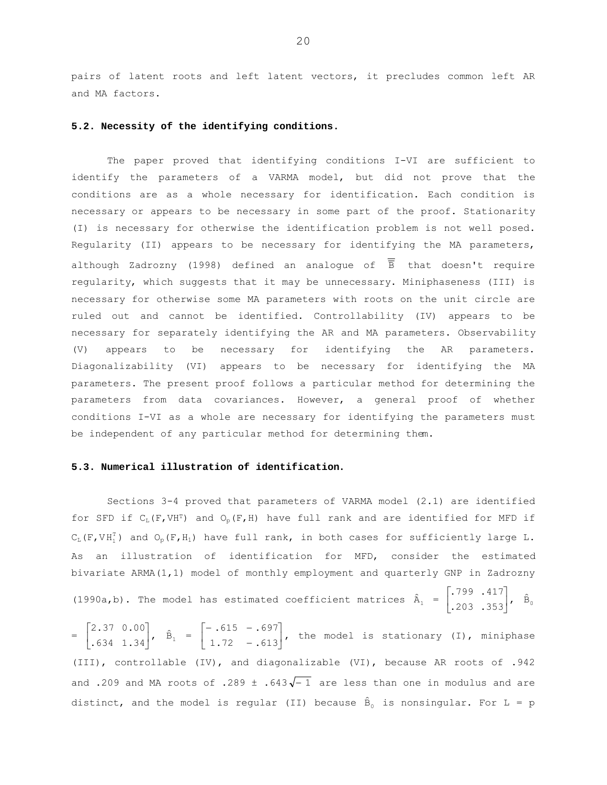pairs of latent roots and left latent vectors, it precludes common left AR and MA factors.

# 5.2. Necessity of the identifying conditions.

The paper proved that identifying conditions I-VI are sufficient to identify the parameters of a VARMA model, but did not prove that the conditions are as a whole necessary for identification. Each condition is necessary or appears to be necessary in some part of the proof. Stationarity (I) is necessary for otherwise the identification problem is not well posed. Regularity (II) appears to be necessary for identifying the MA parameters, although Zadrozny (1998) defined an analogue of  $\overline{\overline{B}}$  that doesn't require regularity, which suggests that it may be unnecessary. Miniphaseness (III) is necessary for otherwise some MA parameters with roots on the unit circle are ruled out and cannot be identified. Controllability (IV) appears to be necessary for separately identifying the AR and MA parameters. Observability (V) appears to be necessary for identifying the AR parameters. Diagonalizability (VI) appears to be necessary for identifying the MA parameters. The present proof follows a particular method for determining the parameters from data covariances. However, a general proof of whether conditions I-VI as a whole are necessary for identifying the parameters must be independent of any particular method for determining them.

#### 5.3. Numerical illustration of identification.

Sections 3-4 proved that parameters of VARMA model (2.1) are identified for SFD if  $C_L(F, VH^T)$  and  $O_p(F, H)$  have full rank and are identified for MFD if  $C_L(F, VH_1^T)$  and  $O_p(F, H_1)$  have full rank, in both cases for sufficiently large L. As an illustration of identification for MFD, consider the estimated bivariate ARMA(1,1) model of monthly employment and quarterly GNP in Zadrozny

(1990a,b). The model has estimated coefficient matrices  $\hat{A}_1 = \begin{bmatrix} .799 & .417 \\ .203 & .353 \end{bmatrix}$ ,  $\hat{B}_0$ 

 $=\begin{bmatrix} 2.37 & 0.00 \\ .634 & 1.34 \end{bmatrix}$ ,  $\hat{B}_1 = \begin{bmatrix} -.615 & -.697 \\ 1.72 & -.613 \end{bmatrix}$ , the model is stationary (I), miniphase (III), controllable (IV), and diagonalizable (VI), because AR roots of .942 and .209 and MA roots of .289  $\pm$  .643 $\sqrt{-1}$  are less than one in modulus and are distinct, and the model is regular (II) because  $\hat{B}_0$  is nonsingular. For L = p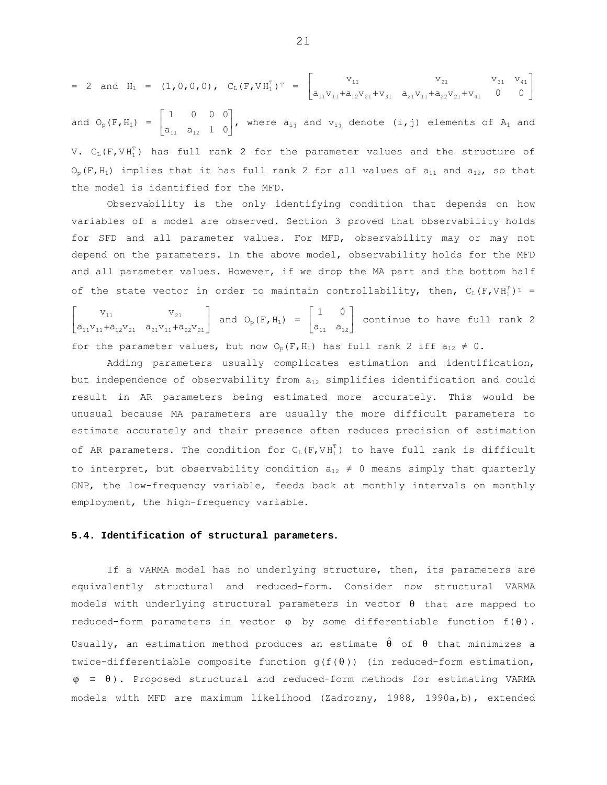$$
= 2 \text{ and } H_1 = (1, 0, 0, 0), C_{L}(F, VH_1^T)^T = \begin{bmatrix} v_{11} & v_{21} & v_{31} & v_{41} \\ a_{11}v_{11} + a_{12}v_{21} + v_{31} & a_{21}v_{11} + a_{22}v_{21} + v_{41} & 0 & 0 \end{bmatrix}
$$
  
and  $O_p(F, H_1) = \begin{bmatrix} 1 & 0 & 0 & 0 \\ a_{11} & a_{12} & 1 & 0 \end{bmatrix}$ , where  $a_{1j}$  and  $v_{1j}$  denote  $(i, j)$  elements of  $A_1$  and  $V$ .  $C_{L}(F, VH_1^T)$  has full rank 2 for the parameter values and the structure of

 $O_p(F,H_1)$  implies that it has full rank 2 for all values of  $a_{11}$  and  $a_{12}$ , so that the model is identified for the MFD.

 Observability is the only identifying condition that depends on how variables of a model are observed. Section 3 proved that observability holds for SFD and all parameter values. For MFD, observability may or may not depend on the parameters. In the above model, observability holds for the MFD and all parameter values. However, if we drop the MA part and the bottom half of the state vector in order to maintain controllability, then,  $C_L(F, V H_1^T)^T =$ 

 $\begin{bmatrix} v_{11} & v_{21} \\ a_{11}v_{11} + a_{12}v_{21} & a_{21}v_{11} + a_{22}v_{21} \end{bmatrix}$ + <sup>21121111</sup> + <sup>21221121</sup> 11 21  $v_{11}$   $v_{21}$   $v_{22}$  and  $v_{p}(F,H_1) = \begin{bmatrix} 1 & 0 \\ a_{11} & a_{12} \end{bmatrix}$  $\overline{a}$  $a_{11}$   $a_{12}$  $\begin{bmatrix} 1 & 0 \\ 0 & 0 \end{bmatrix}$  continue to have full rank 2 for the parameter values, but now  $O_p(F, H_1)$  has full rank 2 iff  $a_{12} \neq 0$ .

 Adding parameters usually complicates estimation and identification, but independence of observability from  $a_{12}$  simplifies identification and could result in AR parameters being estimated more accurately. This would be unusual because MA parameters are usually the more difficult parameters to estimate accurately and their presence often reduces precision of estimation of AR parameters. The condition for  $C_L(F, V H_1^T)$  to have full rank is difficult to interpret, but observability condition  $a_{12} \neq 0$  means simply that quarterly GNP, the low-frequency variable, feeds back at monthly intervals on monthly employment, the high-frequency variable.

#### **5.4. Identification of structural parameters.**

 If a VARMA model has no underlying structure, then, its parameters are equivalently structural and reduced-form. Consider now structural VARMA models with underlying structural parameters in vector  $\theta$  that are mapped to reduced-form parameters in vector  $\varphi$  by some differentiable function  $f(\theta)$ . Usually, an estimation method produces an estimate  $\hat{\theta}$  of  $\theta$  that minimizes a twice-differentiable composite function  $g(f(\theta))$  (in reduced-form estimation,  $\varphi \equiv \theta$ ). Proposed structural and reduced-form methods for estimating VARMA models with MFD are maximum likelihood (Zadrozny, 1988, 1990a,b), extended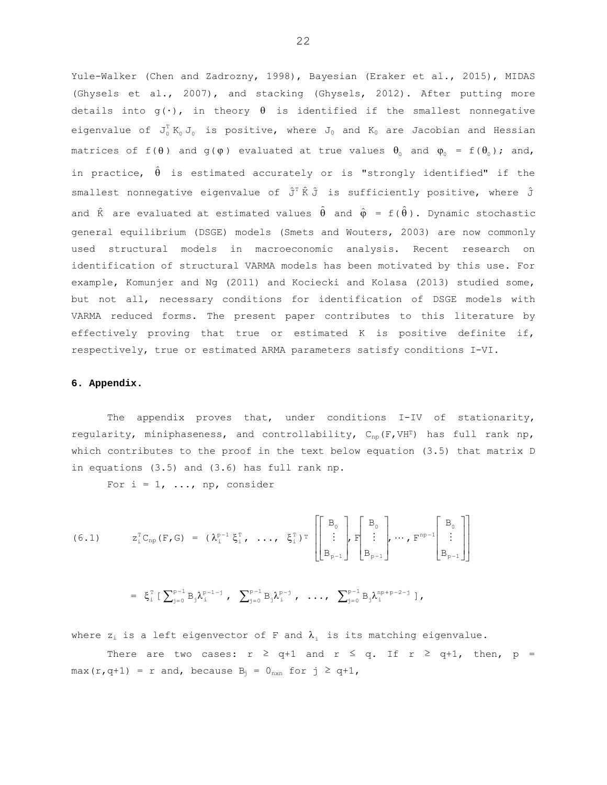Yule-Walker (Chen and Zadrozny, 1998), Bayesian (Eraker et al., 2015), MIDAS (Ghysels et al., 2007), and stacking (Ghysels, 2012). After putting more details into  $g(\cdot)$ , in theory  $\theta$  is identified if the smallest nonnegative eigenvalue of  $J_0^T K_0 J_0$  is positive, where  $J_0$  and  $K_0$  are Jacobian and Hessian matrices of  $f(\theta)$  and  $g(\varphi)$  evaluated at true values  $\theta_0$  and  $\varphi_0 = f(\theta_0)$ ; and, in practice,  $\hat{\theta}$  is estimated accurately or is "strongly identified" if the smallest nonnegative eigenvalue of  $\hat{J}^T \hat{K} \hat{J}$  is sufficiently positive, where  $\hat{J}$ and  $\hat{\kappa}$  are evaluated at estimated values  $\hat{\theta}$  and  $\hat{\varphi} = f(\hat{\theta})$ . Dynamic stochastic general equilibrium (DSGE) models (Smets and Wouters, 2003) are now commonly used structural models in macroeconomic analysis. Recent research on identification of structural VARMA models has been motivated by this use. For example, Komunjer and Ng (2011) and Kociecki and Kolasa (2013) studied some, but not all, necessary conditions for identification of DSGE models with VARMA reduced forms. The present paper contributes to this literature by effectively proving that true or estimated K is positive definite if, respectively, true or estimated ARMA parameters satisfy conditions I-VI.

#### 6. Appendix.

The appendix proves that, under conditions I-IV of stationarity, regularity, miniphaseness, and controllability,  $C_{np}(F, VH^T)$  has full rank np, which contributes to the proof in the text below equation (3.5) that matrix D in equations (3.5) and (3.6) has full rank np.

For  $i = 1, ..., np,$  consider

$$
(6.1) \t z_i^{\mathrm{T}} C_{\mathrm{np}}(F, G) = (\lambda_i^{\mathrm{p-1}} \xi_i^{\mathrm{T}}, \ldots, \xi_i^{\mathrm{T}})^{\mathrm{T}} \left[ \begin{bmatrix} B_0 \\ \vdots \\ B_{\mathrm{p-1}} \end{bmatrix}, F \begin{bmatrix} B_0 \\ \vdots \\ B_{\mathrm{p-1}} \end{bmatrix}, \cdots, F^{\mathrm{np-1}} \begin{bmatrix} B_0 \\ \vdots \\ B_{\mathrm{p-1}} \end{bmatrix} \right]
$$

$$
= \ \xi_i^{\mathtt T} \; [\; {\sum_{j=0}^{p-1}} \, B_j \lambda_i^{p-1-j} \; , \ \ \, {\sum_{j=0}^{p-1}} \, B_j \lambda_i^{p-j} \; , \ \ \, \ldots \, , \ \ \, {\sum_{j=0}^{p-1}} \, B_j \lambda_i^{np+p-2-j} \; ] \; ,
$$

where  $z_i$  is a left eigenvector of F and  $\lambda_i$  is its matching eigenvalue.

There are two cases:  $r \geq q+1$  and  $r \leq q$ . If  $r \geq q+1$ , then,  $p =$ max(r,q+1) = r and, because  $B_i = 0_{n \times n}$  for  $j \ge q+1$ ,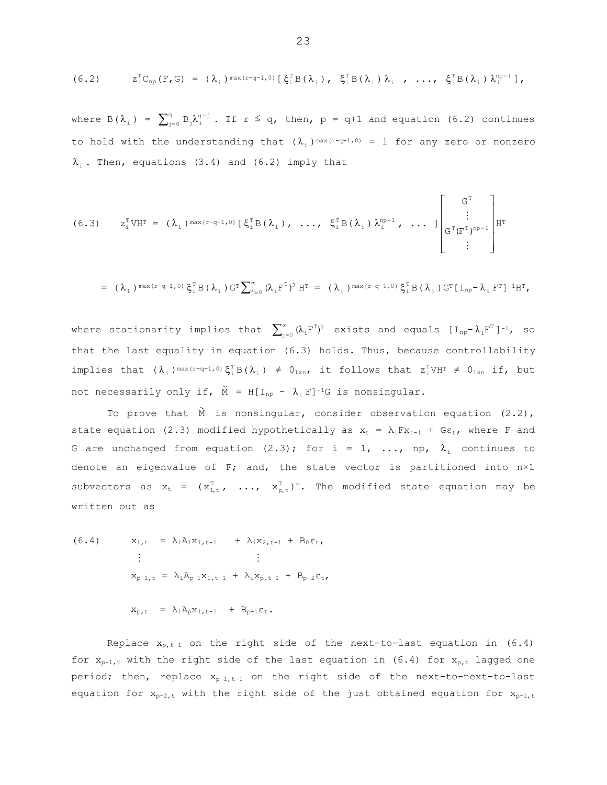$$
(6.2) \t z_i^{\mathrm{T}} C_{\mathrm{np}}(F, G) = (\lambda_i)^{\max(r-q-1, 0)} [\xi_i^{\mathrm{T}} B(\lambda_i), \xi_i^{\mathrm{T}} B(\lambda_i), \lambda_i, \ldots, \xi_i^{\mathrm{T}} B(\lambda_i), \lambda_i^{\mathrm{np-1}}],
$$

where  $B(\lambda_i) = \sum_{j=0}^q B_j \lambda_i^{q-j}$ . If  $r \leq q$ , then,  $p = q+1$  and equation (6.2) continues to hold with the understanding that  $(\lambda_i)$ <sup>max(r-q-1,0)</sup> = 1 for any zero or nonzero  $\lambda_i$ . Then, equations (3.4) and (6.2) imply that

$$
(6.3) \t z_i^{\mathrm{T}} V H^{\mathrm{T}} = (\lambda_i)^{\max(r-q-1,0)} [\xi_i^{\mathrm{T}} B(\lambda_i), \ldots, \xi_i^{\mathrm{T}} B(\lambda_i)\lambda_i^{\mathrm{np}-1}, \ldots] \begin{bmatrix} G^{\mathrm{T}} \\ \vdots \\ G^{\mathrm{T}} (F^{\mathrm{T}})^{\mathrm{np}-1} \\ \vdots \end{bmatrix} H^{\mathrm{T}}
$$

$$
= (\lambda_i)^{\max(r-q-1,0)} \xi_i^{\text{T}} B (\lambda_i)^{\text{T}} \sum_{j=0}^{\infty} (\lambda_i F^{\text{T}})^j H^{\text{T}} = (\lambda_i)^{\max(r-q-1,0)} \xi_i^{\text{T}} B (\lambda_i)^{\text{T}} [I_{np} - \lambda_i F^{\text{T}}]^{-1} H^{\text{T}},
$$

where stationarity implies that  $\sum_{j=0}^{\infty} \, (\lambda_{\textrm{i}} \text{F}^{\textrm{T}})^j$  exists and equals  $[\text{I}_{\text{np}}\text{-}\lambda_{\textrm{i}} \text{F}^{\textrm{T}}\, ]^{\textrm{-1}}$ , so that the last equality in equation (6.3) holds. Thus, because controllability implies that  $(\lambda_i)^{\max(r-q-1)}$ ,  $\xi_i^T B(\lambda_i) \neq 0_{1xn}$ , it follows that  $z_i^T V H^T \neq 0_{1xn}$  if, but not necessarily only if,  $\widetilde{M} = H[I_{np} - \lambda_{i} F]^{-1}G$  is nonsingular.

To prove that  $\tilde{M}$  is nonsingular, consider observation equation (2.2), state equation (2.3) modified hypothetically as  $x_t = \lambda_i F x_{t-1} + G \varepsilon_t$ , where F and G are unchanged from equation (2.3); for i = 1, ..., np,  $\lambda_i$  continues to denote an eigenvalue of F; and, the state vector is partitioned into  $n \times 1$ subvectors as  $x_t = (x_{1,t}^T, ..., x_{p,t}^T)^T$ . The modified state equation may be written out as

(6.4) 
$$
x_{1,t} = \lambda_{i}A_{1}x_{1,t-1} + \lambda_{i}x_{2,t-1} + B_{0}\varepsilon_{t},
$$

$$
\vdots \qquad \vdots
$$

$$
x_{p-1,t} = \lambda_{i}A_{p-1}x_{1,t-1} + \lambda_{i}x_{p,t-1} + B_{p-2}\varepsilon_{t},
$$

 $\label{eq:10} \begin{array}{rclclcl} x_{p,\,t} & = & \lambda_i A_p x_{1,\,t-1} & + & B_{p-1} \epsilon_t \, . \end{array}$ 

Replace  $x_{p,t-1}$  on the right side of the next-to-last equation in (6.4) for  $x_{p-1,t}$  with the right side of the last equation in (6.4) for  $x_{p,t}$  lagged one period; then, replace  $x_{p-1,t-1}$  on the right side of the next-to-next-to-last equation for  $x_{p-2,t}$  with the right side of the just obtained equation for  $x_{p-1,t}$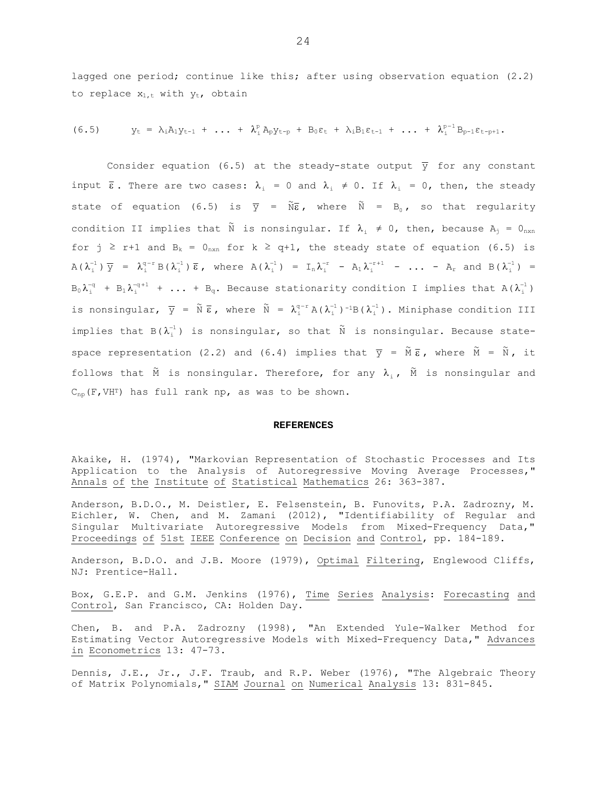lagged one period; continue like this; after using observation equation (2.2) to replace  $x_{1,t}$  with  $y_{t}$ , obtain

$$
(6.5) \t yt = \lambda_{i}A_{1}y_{t-1} + ... + \lambda_{i}^{p}A_{p}y_{t-p} + B_{0}\epsilon_{t} + \lambda_{i}B_{1}\epsilon_{t-1} + ... + \lambda_{i}^{p-1}B_{p-1}\epsilon_{t-p+1}.
$$

Consider equation (6.5) at the steady-state output  $\overline{y}$  for any constant input  $\bar{\epsilon}$ . There are two cases:  $\lambda_i = 0$  and  $\lambda_i \neq 0$ . If  $\lambda_i = 0$ , then, the steady state of equation (6.5) is  $\overline{y}$  =  $\widetilde{N}\overline{\epsilon}$ , where  $\widetilde{N}$  =  $B_0$ , so that regularity condition II implies that  $\widetilde{N}$  is nonsingular. If  $\lambda_{i} \neq 0$ , then, because  $A_{j} = 0_{n \times n}$ for j ≥ r+1 and B<sub>k</sub> = 0<sub>nxn</sub> for k ≥ q+1, the steady state of equation (6.5) is  $A(\lambda_i^{-1}) \overline{y} = \lambda_i^{q-r} B(\lambda_i^{-1}) \overline{\epsilon}$ , where  $A(\lambda_i^{-1}) = I_n \lambda_i^{-r} - A_1 \lambda_i^{-r+1} - ... - A_r$  and  $B(\lambda_i^{-1}) = I_n$  $B_0\lambda_1^{-q}$  +  $B_1\lambda_1^{-q+1}$  + ... +  $B_q$ . Because stationarity condition I implies that A( $\lambda_1^{-1}$ ) is nonsingular,  $\overline{y}$  =  $\widetilde{N} \overline{\epsilon}$ , where  $\widetilde{N}$  =  $\lambda_i^{q-r} A(\lambda_i^{-1})^{-1} B(\lambda_i^{-1})$ . Miniphase condition III implies that  $B(\lambda_i^{-1})$  is nonsingular, so that  $\tilde{N}$  is nonsingular. Because statespace representation (2.2) and (6.4) implies that  $\overline{y}$  =  $\widetilde{M} \, \overline{\epsilon}$ , where  $\widetilde{M}$  =  $\widetilde{N}$ , it follows that  $\tilde{M}$  is nonsingular. Therefore, for any  $\lambda_i$ ,  $\tilde{M}$  is nonsingular and  $C_{\text{no}}(F, VH^{T})$  has full rank np, as was to be shown.

#### **REFERENCES**

Akaike, H. (1974), "Markovian Representation of Stochastic Processes and Its Application to the Analysis of Autoregressive Moving Average Processes," Annals of the Institute of Statistical Mathematics 26: 363-387.

Anderson, B.D.O., M. Deistler, E. Felsenstein, B. Funovits, P.A. Zadrozny, M. Eichler, W. Chen, and M. Zamani (2012), "Identifiability of Regular and Singular Multivariate Autoregressive Models from Mixed-Frequency Data," Proceedings of 51st IEEE Conference on Decision and Control, pp. 184-189.

Anderson, B.D.O. and J.B. Moore (1979), Optimal Filtering, Englewood Cliffs, NJ: Prentice-Hall.

Box, G.E.P. and G.M. Jenkins (1976), Time Series Analysis: Forecasting and Control, San Francisco, CA: Holden Day.

Chen, B. and P.A. Zadrozny (1998), "An Extended Yule-Walker Method for Estimating Vector Autoregressive Models with Mixed-Frequency Data," Advances in Econometrics 13: 47-73.

Dennis, J.E., Jr., J.F. Traub, and R.P. Weber (1976), "The Algebraic Theory of Matrix Polynomials," SIAM Journal on Numerical Analysis 13: 831-845.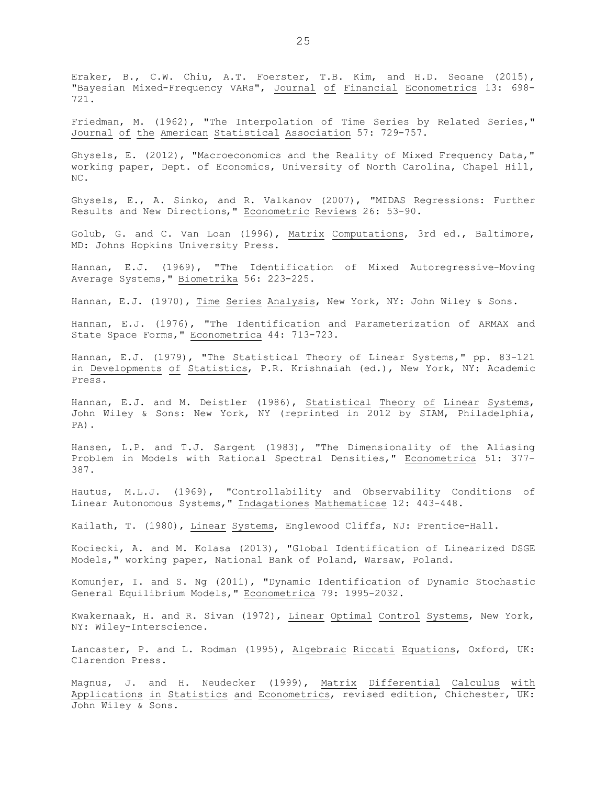Eraker, B., C.W. Chiu, A.T. Foerster, T.B. Kim, and H.D. Seoane (2015), "Bayesian Mixed-Frequency VARs", Journal of Financial Econometrics 13: 698- 721.

Friedman, M. (1962), "The Interpolation of Time Series by Related Series," Journal of the American Statistical Association 57: 729-757.

Ghysels, E. (2012), "Macroeconomics and the Reality of Mixed Frequency Data," working paper, Dept. of Economics, University of North Carolina, Chapel Hill, NC.

Ghysels, E., A. Sinko, and R. Valkanov (2007), "MIDAS Regressions: Further Results and New Directions," Econometric Reviews 26: 53-90.

Golub, G. and C. Van Loan (1996), Matrix Computations, 3rd ed., Baltimore, MD: Johns Hopkins University Press.

Hannan, E.J. (1969), "The Identification of Mixed Autoregressive-Moving Average Systems, " Biometrika 56: 223-225.

Hannan, E.J. (1970), Time Series Analysis, New York, NY: John Wiley & Sons.

Hannan, E.J. (1976), "The Identification and Parameterization of ARMAX and State Space Forms," Econometrica 44: 713-723.

Hannan, E.J. (1979), "The Statistical Theory of Linear Systems," pp. 83-121 in Developments of Statistics, P.R. Krishnaiah (ed.), New York, NY: Academic Press.

Hannan, E.J. and M. Deistler (1986), Statistical Theory of Linear Systems, John Wiley & Sons: New York, NY (reprinted in 2012 by SIAM, Philadelphia, PA).

Hansen, L.P. and T.J. Sargent (1983), "The Dimensionality of the Aliasing Problem in Models with Rational Spectral Densities," Econometrica 51: 377- 387.

Hautus, M.L.J. (1969), "Controllability and Observability Conditions of Linear Autonomous Systems," Indagationes Mathematicae 12: 443-448.

Kailath, T. (1980), Linear Systems, Englewood Cliffs, NJ: Prentice-Hall.

Kociecki, A. and M. Kolasa (2013), "Global Identification of Linearized DSGE Models," working paper, National Bank of Poland, Warsaw, Poland.

Komunjer, I. and S. Ng (2011), "Dynamic Identification of Dynamic Stochastic General Equilibrium Models," Econometrica 79: 1995-2032.

Kwakernaak, H. and R. Sivan (1972), Linear Optimal Control Systems, New York, NY: Wiley-Interscience.

Lancaster, P. and L. Rodman (1995), Algebraic Riccati Equations, Oxford, UK: Clarendon Press.

Magnus, J. and H. Neudecker (1999), Matrix Differential Calculus with Applications in Statistics and Econometrics, revised edition, Chichester, UK: John Wiley & Sons.